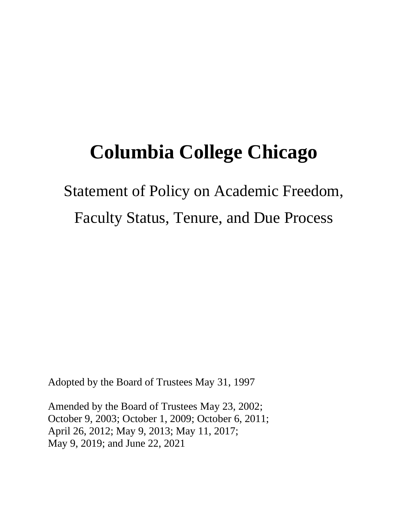# **Columbia College Chicago**

# Statement of Policy on Academic Freedom, Faculty Status, Tenure, and Due Process

Adopted by the Board of Trustees May 31, 1997

Amended by the Board of Trustees May 23, 2002; October 9, 2003; October 1, 2009; October 6, 2011; April 26, 2012; May 9, 2013; May 11, 2017; May 9, 2019; and June 22, 2021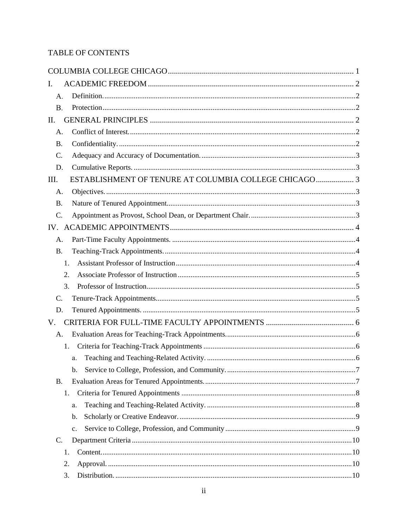# TABLE OF CONTENTS

| I.                                                            |  |
|---------------------------------------------------------------|--|
| A.                                                            |  |
| <b>B.</b>                                                     |  |
| II.                                                           |  |
| A.                                                            |  |
| <b>B.</b>                                                     |  |
| C.                                                            |  |
| D.                                                            |  |
| ESTABLISHMENT OF TENURE AT COLUMBIA COLLEGE CHICAGO 3<br>III. |  |
| A.                                                            |  |
| <b>B.</b>                                                     |  |
| C.                                                            |  |
|                                                               |  |
| A.                                                            |  |
| <b>B.</b>                                                     |  |
| $1_{-}$                                                       |  |
| 2.                                                            |  |
| 3.                                                            |  |
| C.                                                            |  |
| D.                                                            |  |
| V.                                                            |  |
| A.                                                            |  |
| 1.                                                            |  |
| a.                                                            |  |
| b.                                                            |  |
| <b>B.</b>                                                     |  |
| 1.                                                            |  |
| a.                                                            |  |
| b.                                                            |  |
| c.                                                            |  |
| C.                                                            |  |
| 1.                                                            |  |
| 2.                                                            |  |
| 3.                                                            |  |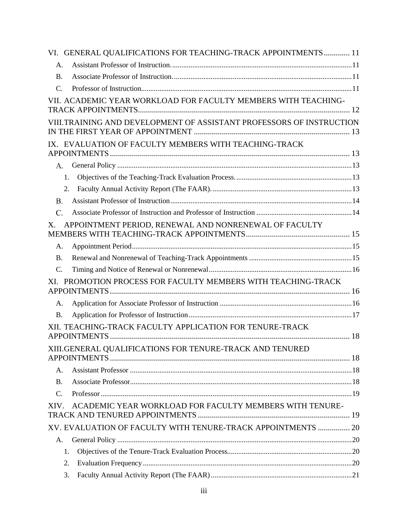|                 | VI. GENERAL QUALIFICATIONS FOR TEACHING-TRACK APPOINTMENTS 11        |  |
|-----------------|----------------------------------------------------------------------|--|
| A.              |                                                                      |  |
| <b>B.</b>       |                                                                      |  |
| C.              |                                                                      |  |
|                 | VII. ACADEMIC YEAR WORKLOAD FOR FACULTY MEMBERS WITH TEACHING-       |  |
|                 | VIII.TRAINING AND DEVELOPMENT OF ASSISTANT PROFESSORS OF INSTRUCTION |  |
|                 | IX. EVALUATION OF FACULTY MEMBERS WITH TEACHING-TRACK                |  |
| А.              |                                                                      |  |
|                 | 1.                                                                   |  |
|                 | 2.                                                                   |  |
| <b>B.</b>       |                                                                      |  |
| C.              |                                                                      |  |
| Χ.              | APPOINTMENT PERIOD, RENEWAL AND NONRENEWAL OF FACULTY                |  |
| А.              |                                                                      |  |
| <b>B.</b>       |                                                                      |  |
| $C$ .           |                                                                      |  |
|                 | XI. PROMOTION PROCESS FOR FACULTY MEMBERS WITH TEACHING-TRACK        |  |
| А.              |                                                                      |  |
| <b>B.</b>       |                                                                      |  |
|                 | XII. TEACHING-TRACK FACULTY APPLICATION FOR TENURE-TRACK             |  |
|                 | XIII.GENERAL QUALIFICATIONS FOR TENURE-TRACK AND TENURED             |  |
| A.              |                                                                      |  |
| <b>B.</b>       |                                                                      |  |
| $\mathcal{C}$ . |                                                                      |  |
| XIV.            | ACADEMIC YEAR WORKLOAD FOR FACULTY MEMBERS WITH TENURE-              |  |
|                 | XV. EVALUATION OF FACULTY WITH TENURE-TRACK APPOINTMENTS  20         |  |
| A.              |                                                                      |  |
|                 | 1.                                                                   |  |
|                 | 2.                                                                   |  |
|                 | 3.                                                                   |  |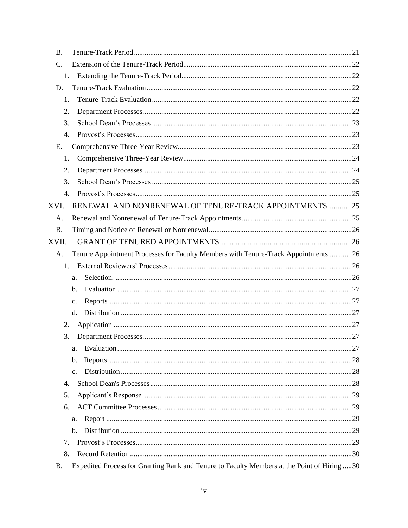| B.        |                                                                                   |  |
|-----------|-----------------------------------------------------------------------------------|--|
| C.        |                                                                                   |  |
| 1.        |                                                                                   |  |
| D.        |                                                                                   |  |
| 1.        |                                                                                   |  |
| 2.        |                                                                                   |  |
| 3.        |                                                                                   |  |
| 4.        |                                                                                   |  |
| Ε.        |                                                                                   |  |
| 1.        |                                                                                   |  |
| 2.        |                                                                                   |  |
| 3.        |                                                                                   |  |
| 4.        |                                                                                   |  |
| XVI.      | RENEWAL AND NONRENEWAL OF TENURE-TRACK APPOINTMENTS 25                            |  |
| A.        |                                                                                   |  |
| <b>B.</b> |                                                                                   |  |
| XVII.     |                                                                                   |  |
| A.        | Tenure Appointment Processes for Faculty Members with Tenure-Track Appointments26 |  |
| 1.        |                                                                                   |  |
|           | a.                                                                                |  |
|           |                                                                                   |  |
|           | b.                                                                                |  |
|           | c.                                                                                |  |
|           | d.                                                                                |  |
| 2.        |                                                                                   |  |
| 3.        |                                                                                   |  |
|           | a.                                                                                |  |
|           | b.                                                                                |  |
|           | c.                                                                                |  |
| 4.        |                                                                                   |  |
| 5.        |                                                                                   |  |
| 6.        |                                                                                   |  |
|           | a.                                                                                |  |
|           | $\mathbf{b}$ .                                                                    |  |
| 7.        |                                                                                   |  |
| 8.        |                                                                                   |  |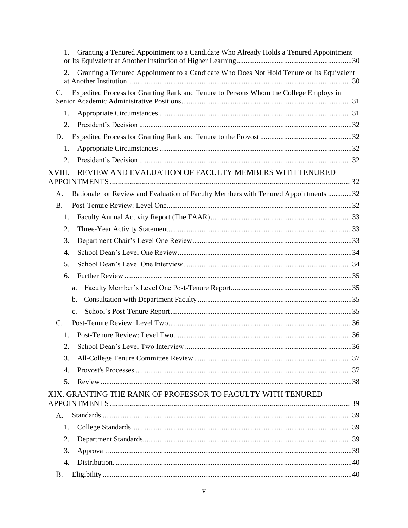| Granting a Tenured Appointment to a Candidate Who Already Holds a Tenured Appointment<br>1.    |  |
|------------------------------------------------------------------------------------------------|--|
| Granting a Tenured Appointment to a Candidate Who Does Not Hold Tenure or Its Equivalent<br>2. |  |
| Expedited Process for Granting Rank and Tenure to Persons Whom the College Employs in<br>C.    |  |
| 1.                                                                                             |  |
| 2.                                                                                             |  |
| D.                                                                                             |  |
| 1.                                                                                             |  |
| 2.                                                                                             |  |
| REVIEW AND EVALUATION OF FACULTY MEMBERS WITH TENURED<br>XVIII.                                |  |
| Rationale for Review and Evaluation of Faculty Members with Tenured Appointments 32<br>A.      |  |
| <b>B.</b>                                                                                      |  |
| 1.                                                                                             |  |
| 2.                                                                                             |  |
| 3.                                                                                             |  |
| 4.                                                                                             |  |
| 5.                                                                                             |  |
| 6.                                                                                             |  |
| a.                                                                                             |  |
| b.                                                                                             |  |
| $\mathbf{c}$ .                                                                                 |  |
| C.                                                                                             |  |
| 1.                                                                                             |  |
| 2.                                                                                             |  |
| 3.                                                                                             |  |
| $\overline{4}$ .                                                                               |  |
| 5.                                                                                             |  |
| XIX. GRANTING THE RANK OF PROFESSOR TO FACULTY WITH TENURED                                    |  |
| $\mathsf{A}$ .                                                                                 |  |
| 1.                                                                                             |  |
| 2.                                                                                             |  |
| 3.                                                                                             |  |
| 4.                                                                                             |  |
| <b>B.</b>                                                                                      |  |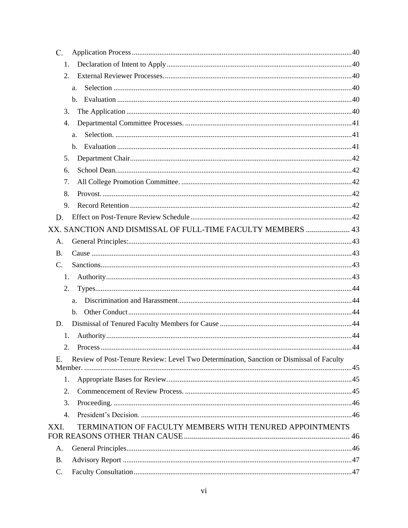| C.                                                                                            |  |
|-----------------------------------------------------------------------------------------------|--|
| 1.                                                                                            |  |
| 2.                                                                                            |  |
| a.                                                                                            |  |
| b.                                                                                            |  |
| 3.                                                                                            |  |
| 4.                                                                                            |  |
| a.                                                                                            |  |
| b.                                                                                            |  |
| 5.                                                                                            |  |
| 6.                                                                                            |  |
| 7.                                                                                            |  |
| 8.                                                                                            |  |
| 9.                                                                                            |  |
| D.                                                                                            |  |
| XX. SANCTION AND DISMISSAL OF FULL-TIME FACULTY MEMBERS  43                                   |  |
| А.                                                                                            |  |
| <b>B.</b>                                                                                     |  |
| C.                                                                                            |  |
| 1.                                                                                            |  |
| 2.                                                                                            |  |
| a.                                                                                            |  |
| $\mathbf{b}$ .                                                                                |  |
| D.                                                                                            |  |
| 1.                                                                                            |  |
| 2.                                                                                            |  |
| Review of Post-Tenure Review: Level Two Determination, Sanction or Dismissal of Faculty<br>Ε. |  |
|                                                                                               |  |
| 1.                                                                                            |  |
| 2.                                                                                            |  |
| 3.                                                                                            |  |
| $\overline{4}$ .                                                                              |  |
| TERMINATION OF FACULTY MEMBERS WITH TENURED APPOINTMENTS<br>XXI.                              |  |
| A.                                                                                            |  |
| <b>B.</b>                                                                                     |  |
| C.                                                                                            |  |
|                                                                                               |  |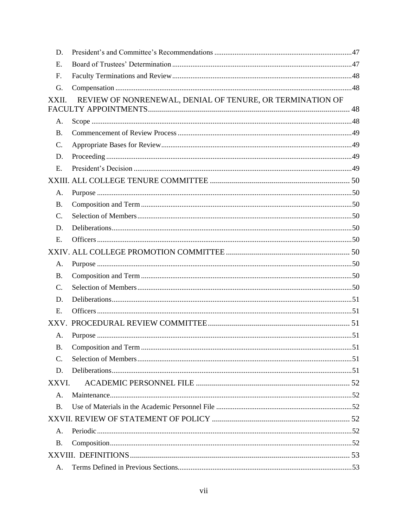| D.        |                                                           |  |
|-----------|-----------------------------------------------------------|--|
| Ε.        |                                                           |  |
| F.        |                                                           |  |
| G.        |                                                           |  |
| XXII.     | REVIEW OF NONRENEWAL, DENIAL OF TENURE, OR TERMINATION OF |  |
|           |                                                           |  |
| А.        |                                                           |  |
| <b>B.</b> |                                                           |  |
| C.        |                                                           |  |
| D.        |                                                           |  |
| E.        |                                                           |  |
|           |                                                           |  |
| A.        |                                                           |  |
| <b>B.</b> |                                                           |  |
| C.        |                                                           |  |
| D.        |                                                           |  |
| E.        |                                                           |  |
|           |                                                           |  |
| A.        |                                                           |  |
| <b>B.</b> |                                                           |  |
| C.        |                                                           |  |
| D.        |                                                           |  |
| Ε.        |                                                           |  |
|           |                                                           |  |
| А.        |                                                           |  |
| <b>B.</b> |                                                           |  |
| C.        |                                                           |  |
| D.        |                                                           |  |
| XXVI.     |                                                           |  |
| A.        |                                                           |  |
| <b>B.</b> |                                                           |  |
|           |                                                           |  |
| Α.        |                                                           |  |
| <b>B.</b> |                                                           |  |
|           |                                                           |  |
| А.        |                                                           |  |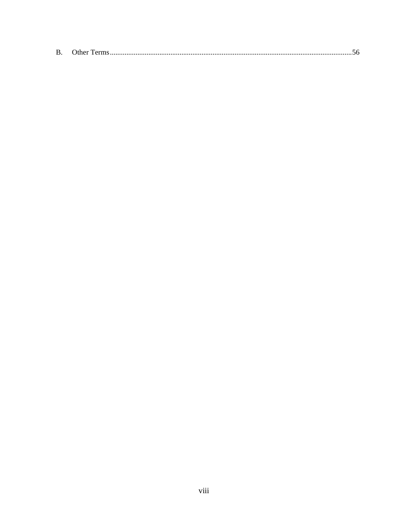| В.<br>")ther |  |  |  |  |  |
|--------------|--|--|--|--|--|
|--------------|--|--|--|--|--|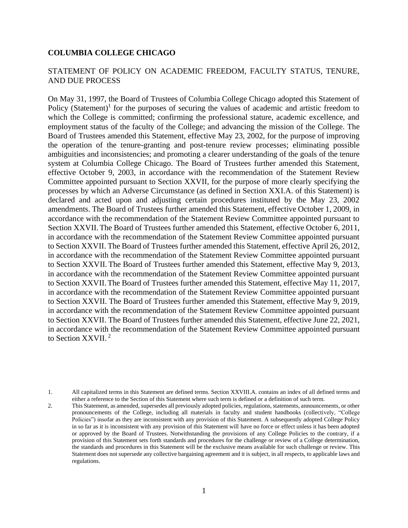#### <span id="page-8-0"></span>**COLUMBIA COLLEGE CHICAGO**

#### STATEMENT OF POLICY ON ACADEMIC FREEDOM, FACULTY STATUS, TENURE, AND DUE PROCESS

On May 31, 1997, the Board of Trustees of Columbia College Chicago adopted this Statement of Policy (Statement)<sup>1</sup> for the purposes of securing the values of academic and artistic freedom to which the College is committed; confirming the professional stature, academic excellence, and employment status of the faculty of the College; and advancing the mission of the College. The Board of Trustees amended this Statement, effective May 23, 2002, for the purpose of improving the operation of the tenure-granting and post-tenure review processes; eliminating possible ambiguities and inconsistencies; and promoting a clearer understanding of the goals of the tenure system at Columbia College Chicago. The Board of Trustees further amended this Statement, effective October 9, 2003, in accordance with the recommendation of the Statement Review Committee appointed pursuant to Section XXVII, for the purpose of more clearly specifying the processes by which an Adverse Circumstance (as defined in Section XXI.A. of this Statement) is declared and acted upon and adjusting certain procedures instituted by the May 23, 2002 amendments. The Board of Trustees further amended this Statement, effective October 1, 2009, in accordance with the recommendation of the Statement Review Committee appointed pursuant to Section XXVII.The Board of Trustees further amended this Statement, effective October 6, 2011, in accordance with the recommendation of the Statement Review Committee appointed pursuant to Section XXVII. The Board of Trustees further amended this Statement, effective April 26, 2012, in accordance with the recommendation of the Statement Review Committee appointed pursuant to Section XXVII. The Board of Trustees further amended this Statement, effective May 9, 2013, in accordance with the recommendation of the Statement Review Committee appointed pursuant to Section XXVII.The Board of Trustees further amended this Statement, effective May 11, 2017, in accordance with the recommendation of the Statement Review Committee appointed pursuant to Section XXVII. The Board of Trustees further amended this Statement, effective May 9, 2019, in accordance with the recommendation of the Statement Review Committee appointed pursuant to Section XXVII. The Board of Trustees further amended this Statement, effective June 22, 2021, in accordance with the recommendation of the Statement Review Committee appointed pursuant to Section XXVII.<sup>2</sup>

<sup>1.</sup> All capitalized terms in this Statement are defined terms. Section XXVIII.A. contains an index of all defined terms and either a reference to the Section of this Statement where such term is defined or a definition of such term.

<sup>2.</sup> This Statement, as amended, supersedes all previously adopted policies, regulations, statements, announcements, or other pronouncements of the College, including all materials in faculty and student handbooks (collectively, "College Policies") insofar as they are inconsistent with any provision of this Statement. A subsequently adopted College Policy in so far as it is inconsistent with any provision of this Statement will have no force or effect unless it has been adopted or approved by the Board of Trustees. Notwithstanding the provisions of any College Policies to the contrary, if a provision of this Statement sets forth standards and procedures for the challenge or review of a College determination, the standards and procedures in this Statement will be the exclusive means available for such challenge or review. This Statement does not supersede any collective bargaining agreement and it is subject, in all respects, to applicable laws and regulations.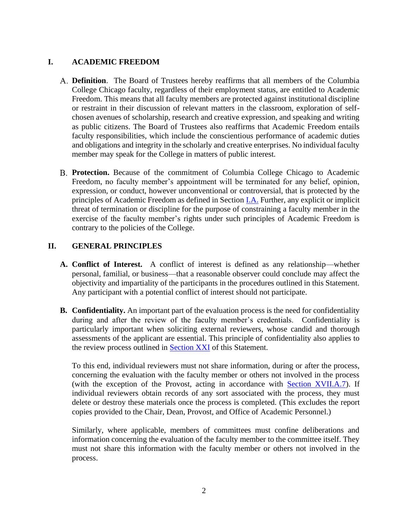## <span id="page-9-0"></span>**I. ACADEMIC FREEDOM**

- <span id="page-9-1"></span>**Definition**. The Board of Trustees hereby reaffirms that all members of the Columbia College Chicago faculty, regardless of their employment status, are entitled to Academic Freedom. This means that all faculty members are protected against institutional discipline or restraint in their discussion of relevant matters in the classroom, exploration of selfchosen avenues of scholarship, research and creative expression, and speaking and writing as public citizens. The Board of Trustees also reaffirms that Academic Freedom entails faculty responsibilities, which include the conscientious performance of academic duties and obligations and integrity in the scholarly and creative enterprises. No individual faculty member may speak for the College in matters of public interest.
- <span id="page-9-2"></span>**Protection.** Because of the commitment of Columbia College Chicago to Academic Freedom, no faculty member's appointment will be terminated for any belief, opinion, expression, or conduct, however unconventional or controversial, that is protected by the principles of Academic Freedom as defined in Section [I.A.](#page-9-1) Further, any explicit or implicit threat of termination or discipline for the purpose of constraining a faculty member in the exercise of the faculty member's rights under such principles of Academic Freedom is contrary to the policies of the College.

## <span id="page-9-3"></span>**II. GENERAL PRINCIPLES**

- <span id="page-9-4"></span>**A. Conflict of Interest.** A conflict of interest is defined as any relationship—whether personal, familial, or business—that a reasonable observer could conclude may affect the objectivity and impartiality of the participants in the procedures outlined in this Statement. Any participant with a potential conflict of interest should not participate.
- <span id="page-9-5"></span>**B. Confidentiality.** An important part of the evaluation process is the need for confidentiality during and after the review of the faculty member's credentials. Confidentiality is particularly important when soliciting external reviewers, whose candid and thorough assessments of the applicant are essential. This principle of confidentiality also applies to the review process outlined in **Section XXI** of this Statement.

To this end, individual reviewers must not share information, during or after the process, concerning the evaluation with the faculty member or others not involved in the process (with the exception of the Provost, acting in accordance with **Section XVII.A.7**). If individual reviewers obtain records of any sort associated with the process, they must delete or destroy these materials once the process is completed. (This excludes the report copies provided to the Chair, Dean, Provost, and Office of Academic Personnel.)

Similarly, where applicable, members of committees must confine deliberations and information concerning the evaluation of the faculty member to the committee itself. They must not share this information with the faculty member or others not involved in the process.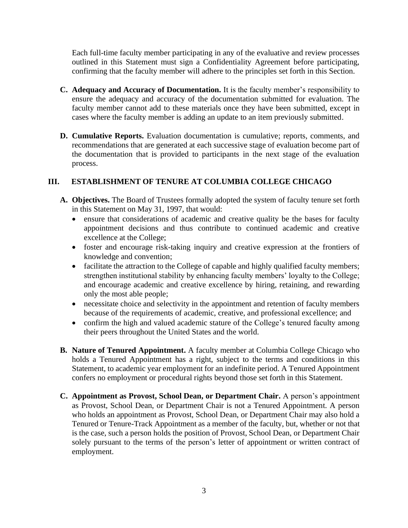Each full-time faculty member participating in any of the evaluative and review processes outlined in this Statement must sign a Confidentiality Agreement before participating, confirming that the faculty member will adhere to the principles set forth in this Section.

- <span id="page-10-0"></span>**C. Adequacy and Accuracy of Documentation.** It is the faculty member's responsibility to ensure the adequacy and accuracy of the documentation submitted for evaluation. The faculty member cannot add to these materials once they have been submitted, except in cases where the faculty member is adding an update to an item previously submitted.
- <span id="page-10-1"></span>**D. Cumulative Reports.** Evaluation documentation is cumulative; reports, comments, and recommendations that are generated at each successive stage of evaluation become part of the documentation that is provided to participants in the next stage of the evaluation process.

## <span id="page-10-2"></span>**III. ESTABLISHMENT OF TENURE AT COLUMBIA COLLEGE CHICAGO**

- <span id="page-10-3"></span>**A. Objectives.** The Board of Trustees formally adopted the system of faculty tenure set forth in this Statement on May 31, 1997, that would:
	- ensure that considerations of academic and creative quality be the bases for faculty appointment decisions and thus contribute to continued academic and creative excellence at the College;
	- foster and encourage risk-taking inquiry and creative expression at the frontiers of knowledge and convention;
	- facilitate the attraction to the College of capable and highly qualified faculty members; strengthen institutional stability by enhancing faculty members' loyalty to the College; and encourage academic and creative excellence by hiring, retaining, and rewarding only the most able people;
	- necessitate choice and selectivity in the appointment and retention of faculty members because of the requirements of academic, creative, and professional excellence; and
	- confirm the high and valued academic stature of the College's tenured faculty among their peers throughout the United States and the world.
- <span id="page-10-4"></span>**B. Nature of Tenured Appointment.** A faculty member at Columbia College Chicago who holds a Tenured Appointment has a right, subject to the terms and conditions in this Statement, to academic year employment for an indefinite period. A Tenured Appointment confers no employment or procedural rights beyond those set forth in this Statement.
- <span id="page-10-5"></span>**C. Appointment as Provost, School Dean, or Department Chair.** A person's appointment as Provost, School Dean, or Department Chair is not a Tenured Appointment. A person who holds an appointment as Provost, School Dean, or Department Chair may also hold a Tenured or Tenure-Track Appointment as a member of the faculty, but, whether or not that is the case, such a person holds the position of Provost, School Dean, or Department Chair solely pursuant to the terms of the person's letter of appointment or written contract of employment.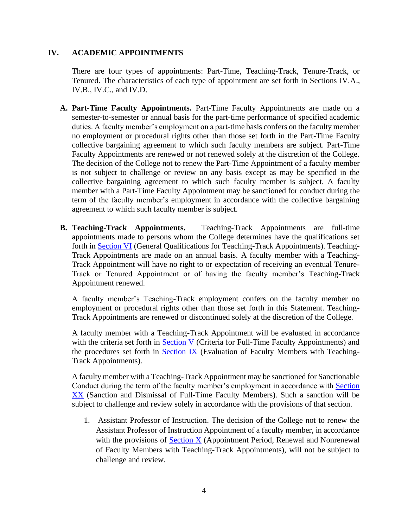## <span id="page-11-0"></span>**IV. ACADEMIC APPOINTMENTS**

There are four types of appointments: Part-Time, Teaching-Track, Tenure-Track, or Tenured. The characteristics of each type of appointment are set forth in Sections IV.A., IV.B., IV.C., and IV.D.

- <span id="page-11-1"></span>**A. Part-Time Faculty Appointments.** Part-Time Faculty Appointments are made on a semester-to-semester or annual basis for the part-time performance of specified academic duties. A faculty member's employment on a part-time basis confers on the faculty member no employment or procedural rights other than those set forth in the Part-Time Faculty collective bargaining agreement to which such faculty members are subject. Part-Time Faculty Appointments are renewed or not renewed solely at the discretion of the College. The decision of the College not to renew the Part-Time Appointment of a faculty member is not subject to challenge or review on any basis except as may be specified in the collective bargaining agreement to which such faculty member is subject. A faculty member with a Part-Time Faculty Appointment may be sanctioned for conduct during the term of the faculty member's employment in accordance with the collective bargaining agreement to which such faculty member is subject.
- <span id="page-11-2"></span>**B. Teaching-Track Appointments.** Teaching-Track Appointments are full-time appointments made to persons whom the College determines have the qualifications set forth in [Section VI](#page-18-0) (General Qualifications for Teaching-Track Appointments). Teaching-Track Appointments are made on an annual basis. A faculty member with a Teaching-Track Appointment will have no right to or expectation of receiving an eventual Tenure-Track or Tenured Appointment or of having the faculty member's Teaching-Track Appointment renewed.

A faculty member's Teaching-Track employment confers on the faculty member no employment or procedural rights other than those set forth in this Statement. Teaching-Track Appointments are renewed or discontinued solely at the discretion of the College.

A faculty member with a Teaching-Track Appointment will be evaluated in accordance with the criteria set forth in [Section V](#page-13-0) (Criteria for Full-Time Faculty Appointments) and the procedures set forth in **Section IX** (Evaluation of Faculty Members with Teaching-Track Appointments).

A faculty member with a Teaching-Track Appointment may be sanctioned for Sanctionable Conduct during the term of the faculty member's employment in accordance with [Section](#page-46-0)  [XX](#page-46-0) (Sanction and Dismissal of Full-Time Faculty Members). Such a sanction will be subject to challenge and review solely in accordance with the provisions of that section.

<span id="page-11-3"></span>1. Assistant Professor of Instruction. The decision of the College not to renew the Assistant Professor of Instruction Appointment of a faculty member, in accordance with the provisions of [Section X](#page-22-0) (Appointment Period, Renewal and Nonrenewal of Faculty Members with Teaching-Track Appointments), will not be subject to challenge and review.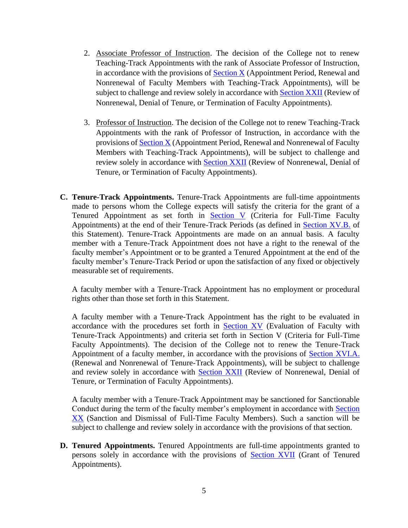- <span id="page-12-0"></span>2. Associate Professor of Instruction. The decision of the College not to renew Teaching-Track Appointments with the rank of Associate Professor of Instruction, in accordance with the provisions of  $Section X$  (Appointment Period, Renewal and Nonrenewal of Faculty Members with Teaching-Track Appointments), will be subject to challenge and review solely in accordance with [Section XXII](#page-55-2) (Review of Nonrenewal, Denial of Tenure, or Termination of Faculty Appointments).
- <span id="page-12-1"></span>3. Professor of Instruction. The decision of the College not to renew Teaching-Track Appointments with the rank of Professor of Instruction, in accordance with the provisions of  $Section X$  (Appointment Period, Renewal and Nonrenewal of Faculty Members with Teaching-Track Appointments), will be subject to challenge and review solely in accordance with [Section XXII](#page-55-2) (Review of Nonrenewal, Denial of Tenure, or Termination of Faculty Appointments).
- <span id="page-12-2"></span>**C. Tenure-Track Appointments.** Tenure-Track Appointments are full-time appointments made to persons whom the College expects will satisfy the criteria for the grant of a Tenured Appointment as set forth in [Section V](#page-13-0) (Criteria for Full-Time Faculty Appointments) at the end of their Tenure-Track Periods (as defined in [Section XV.B.](#page-28-1) of this Statement). Tenure-Track Appointments are made on an annual basis. A faculty member with a Tenure-Track Appointment does not have a right to the renewal of the faculty member's Appointment or to be granted a Tenured Appointment at the end of the faculty member's Tenure-Track Period or upon the satisfaction of any fixed or objectively measurable set of requirements.

A faculty member with a Tenure-Track Appointment has no employment or procedural rights other than those set forth in this Statement.

A faculty member with a Tenure-Track Appointment has the right to be evaluated in accordance with the procedures set forth in **[Section XV](#page-27-0)** (Evaluation of Faculty with Tenure-Track Appointments) and criteria set forth in Section V (Criteria for Full-Time Faculty Appointments). The decision of the College not to renew the Tenure-Track Appointment of a faculty member, in accordance with the provisions of [Section XVI.A.](#page-32-4) (Renewal and Nonrenewal of Tenure-Track Appointments), will be subject to challenge and review solely in accordance with [Section XXII](#page-55-4) (Review of Nonrenewal, Denial of Tenure, or Termination of Faculty Appointments).

A faculty member with a Tenure-Track Appointment may be sanctioned for Sanctionable Conduct during the term of the faculty member's employment in accordance with Section [XX](#page-46-0) (Sanction and Dismissal of Full-Time Faculty Members). Such a sanction will be subject to challenge and review solely in accordance with the provisions of that section.

<span id="page-12-3"></span>**D. Tenured Appointments.** Tenured Appointments are full-time appointments granted to persons solely in accordance with the provisions of [Section XVII](#page-33-1) (Grant of Tenured Appointments).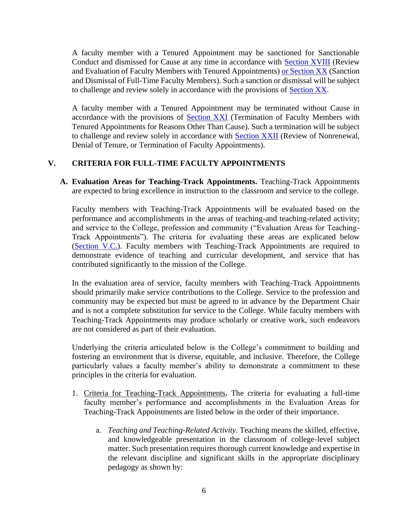A faculty member with a Tenured Appointment may be sanctioned for Sanctionable Conduct and dismissed for Cause at any time in accordance with Section XVIII (Review and Evaluation of Faculty Members with Tenured Appointments) [or Section XX](#page-46-0) (Sanction and Dismissal of Full-Time Faculty Members). Such a sanction or dismissal will be subject to challenge and review solely in accordance with the provisions of [Section XX.](#page-46-0)

A faculty member with a Tenured Appointment may be terminated without Cause in accordance with the provisions of **Section XXI** (Termination of Faculty Members with Tenured Appointments for Reasons Other Than Cause). Such a termination will be subject to challenge and review solely in accordance with [Section XXII](#page-55-2) (Review of Nonrenewal, Denial of Tenure, or Termination of Faculty Appointments).

## <span id="page-13-0"></span>**V. CRITERIA FOR FULL-TIME FACULTY APPOINTMENTS**

<span id="page-13-1"></span>**A. Evaluation Areas for Teaching-Track Appointments.** Teaching-Track Appointments are expected to bring excellence in instruction to the classroom and service to the college.

Faculty members with Teaching-Track Appointments will be evaluated based on the performance and accomplishments in the areas of teaching-and teaching-related activity; and service to the College, profession and community ("Evaluation Areas for Teaching-Track Appointments"). The criteria for evaluating these areas are explicated below [\(Section V.C.\)](#page-17-0). Faculty members with Teaching-Track Appointments are required to demonstrate evidence of teaching and curricular development, and service that has contributed significantly to the mission of the College.

In the evaluation area of service, faculty members with Teaching-Track Appointments should primarily make service contributions to the College. Service to the profession and community may be expected but must be agreed to in advance by the Department Chair and is not a complete substitution for service to the College. While faculty members with Teaching-Track Appointments may produce scholarly or creative work, such endeavors are not considered as part of their evaluation.

Underlying the criteria articulated below is the College's commitment to building and fostering an environment that is diverse, equitable, and inclusive. Therefore, the College particularly values a faculty member's ability to demonstrate a commitment to these principles in the criteria for evaluation.

- <span id="page-13-3"></span><span id="page-13-2"></span>1. Criteria for Teaching-Track Appointments**.** The criteria for evaluating a full-time faculty member's performance and accomplishments in the Evaluation Areas for Teaching-Track Appointments are listed below in the order of their importance.
	- a. *Teaching and Teaching-Related Activity.* Teaching means the skilled, effective, and knowledgeable presentation in the classroom of college-level subject matter. Such presentation requires thorough current knowledge and expertise in the relevant discipline and significant skills in the appropriate disciplinary pedagogy as shown by: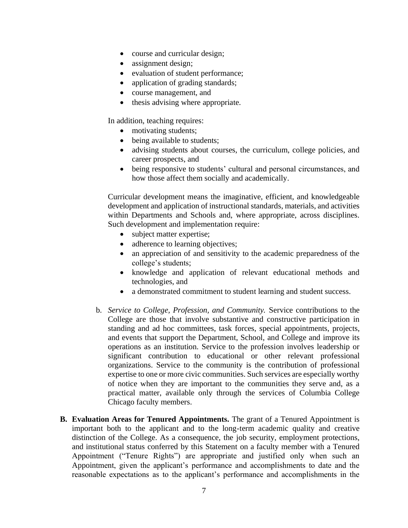- course and curricular design;
- assignment design;
- evaluation of student performance;
- application of grading standards;
- course management, and
- thesis advising where appropriate.

In addition, teaching requires:

- motivating students;
- being available to students;
- advising students about courses, the curriculum, college policies, and career prospects, and
- being responsive to students' cultural and personal circumstances, and how those affect them socially and academically.

Curricular development means the imaginative, efficient, and knowledgeable development and application of instructional standards, materials, and activities within Departments and Schools and, where appropriate, across disciplines. Such development and implementation require:

- subject matter expertise;
- adherence to learning objectives;
- an appreciation of and sensitivity to the academic preparedness of the college's students;
- knowledge and application of relevant educational methods and technologies, and
- a demonstrated commitment to student learning and student success.
- <span id="page-14-0"></span>b. *Service to College, Profession, and Community.* Service contributions to the College are those that involve substantive and constructive participation in standing and ad hoc committees, task forces, special appointments, projects, and events that support the Department, School, and College and improve its operations as an institution. Service to the profession involves leadership or significant contribution to educational or other relevant professional organizations. Service to the community is the contribution of professional expertise to one or more civic communities. Such services are especially worthy of notice when they are important to the communities they serve and, as a practical matter, available only through the services of Columbia College Chicago faculty members.
- <span id="page-14-1"></span>**B. Evaluation Areas for Tenured Appointments.** The grant of a Tenured Appointment is important both to the applicant and to the long-term academic quality and creative distinction of the College. As a consequence, the job security, employment protections, and institutional status conferred by this Statement on a faculty member with a Tenured Appointment ("Tenure Rights") are appropriate and justified only when such an Appointment, given the applicant's performance and accomplishments to date and the reasonable expectations as to the applicant's performance and accomplishments in the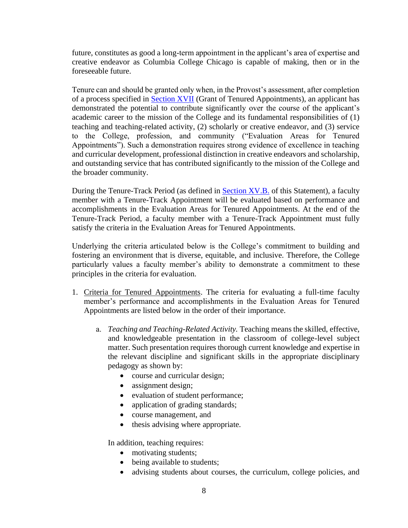future, constitutes as good a long-term appointment in the applicant's area of expertise and creative endeavor as Columbia College Chicago is capable of making, then or in the foreseeable future.

Tenure can and should be granted only when, in the Provost's assessment, after completion of a process specified in **Section XVII** (Grant of Tenured Appointments), an applicant has demonstrated the potential to contribute significantly over the course of the applicant's academic career to the mission of the College and its fundamental responsibilities of (1) teaching and teaching-related activity, (2) scholarly or creative endeavor, and (3) service to the College, profession, and community ("Evaluation Areas for Tenured Appointments"). Such a demonstration requires strong evidence of excellence in teaching and curricular development, professional distinction in creative endeavors and scholarship, and outstanding service that has contributed significantly to the mission of the College and the broader community.

During the Tenure-Track Period (as defined in [Section XV.B.](#page-28-1) of this Statement), a faculty member with a Tenure-Track Appointment will be evaluated based on performance and accomplishments in the Evaluation Areas for Tenured Appointments. At the end of the Tenure-Track Period, a faculty member with a Tenure-Track Appointment must fully satisfy the criteria in the Evaluation Areas for Tenured Appointments.

Underlying the criteria articulated below is the College's commitment to building and fostering an environment that is diverse, equitable, and inclusive. Therefore, the College particularly values a faculty member's ability to demonstrate a commitment to these principles in the criteria for evaluation.

- <span id="page-15-1"></span><span id="page-15-0"></span>1. Criteria for Tenured Appointments. The criteria for evaluating a full-time faculty member's performance and accomplishments in the Evaluation Areas for Tenured Appointments are listed below in the order of their importance.
	- a. *Teaching and Teaching-Related Activity.* Teaching means the skilled, effective, and knowledgeable presentation in the classroom of college-level subject matter. Such presentation requires thorough current knowledge and expertise in the relevant discipline and significant skills in the appropriate disciplinary pedagogy as shown by:
		- course and curricular design;
		- assignment design;
		- evaluation of student performance;
		- application of grading standards;
		- course management, and
		- thesis advising where appropriate.

In addition, teaching requires:

- motivating students;
- being available to students;
- advising students about courses, the curriculum, college policies, and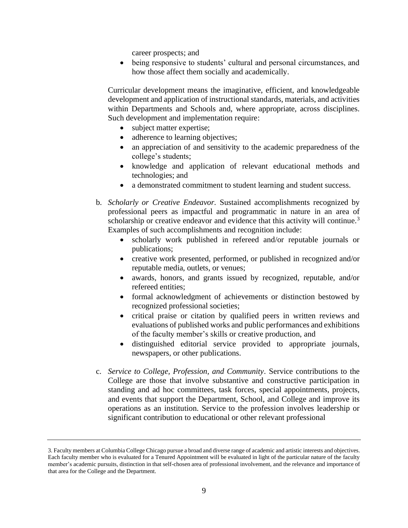career prospects; and

• being responsive to students' cultural and personal circumstances, and how those affect them socially and academically.

Curricular development means the imaginative, efficient, and knowledgeable development and application of instructional standards, materials, and activities within Departments and Schools and, where appropriate, across disciplines. Such development and implementation require:

- subject matter expertise;
- adherence to learning objectives;
- an appreciation of and sensitivity to the academic preparedness of the college's students;
- knowledge and application of relevant educational methods and technologies; and
- a demonstrated commitment to student learning and student success.
- <span id="page-16-0"></span>b. *Scholarly or Creative Endeavor.* Sustained accomplishments recognized by professional peers as impactful and programmatic in nature in an area of scholarship or creative endeavor and evidence that this activity will continue.<sup>3</sup> Examples of such accomplishments and recognition include:
	- scholarly work published in refereed and/or reputable journals or publications;
	- creative work presented, performed, or published in recognized and/or reputable media, outlets, or venues;
	- awards, honors, and grants issued by recognized, reputable, and/or refereed entities;
	- formal acknowledgment of achievements or distinction bestowed by recognized professional societies;
	- critical praise or citation by qualified peers in written reviews and evaluations of published works and public performances and exhibitions of the faculty member's skills or creative production, and
	- distinguished editorial service provided to appropriate journals, newspapers, or other publications.
- <span id="page-16-1"></span>c. *Service to College, Profession, and Community*. Service contributions to the College are those that involve substantive and constructive participation in standing and ad hoc committees, task forces, special appointments, projects, and events that support the Department, School, and College and improve its operations as an institution. Service to the profession involves leadership or significant contribution to educational or other relevant professional

<sup>3.</sup> Faculty members at Columbia College Chicago pursue a broad and diverse range of academic and artistic interests and objectives. Each faculty member who is evaluated for a Tenured Appointment will be evaluated in light of the particular nature of the faculty member's academic pursuits, distinction in that self-chosen area of professional involvement, and the relevance and importance of that area for the College and the Department.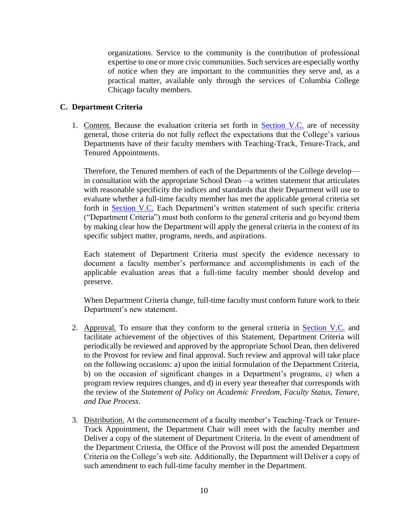organizations. Service to the community is the contribution of professional expertise to one or more civic communities. Such services are especially worthy of notice when they are important to the communities they serve and, as a practical matter, available only through the services of Columbia College Chicago faculty members.

## <span id="page-17-1"></span><span id="page-17-0"></span>**C. Department Criteria**

1. Content. Because the evaluation criteria set forth in **Section V.C.** are of necessity general, those criteria do not fully reflect the expectations that the College's various Departments have of their faculty members with Teaching-Track, Tenure-Track, and Tenured Appointments.

Therefore, the Tenured members of each of the Departments of the College develop in consultation with the appropriate School Dean—a written statement that articulates with reasonable specificity the indices and standards that their Department will use to evaluate whether a full-time faculty member has met the applicable general criteria set forth in [Section V.C.](#page-13-0) Each Department's written statement of such specific criteria ("Department Criteria") must both conform to the general criteria and go beyond them by making clear how the Department will apply the general criteria in the context of its specific subject matter, programs, needs, and aspirations.

Each statement of Department Criteria must specify the evidence necessary to document a faculty member's performance and accomplishments in each of the applicable evaluation areas that a full-time faculty member should develop and preserve.

When Department Criteria change, full-time faculty must conform future work to their Department's new statement.

- <span id="page-17-2"></span>2. Approval. To ensure that they conform to the general criteria in [Section V.C.](#page-13-0) and facilitate achievement of the objectives of this Statement, Department Criteria will periodically be reviewed and approved by the appropriate School Dean, then delivered to the Provost for review and final approval. Such review and approval will take place on the following occasions: a) upon the initial formulation of the Department Criteria, b) on the occasion of significant changes in a Department's programs, c) when a program review requires changes, and d) in every year thereafter that corresponds with the review of the *Statement of Policy on Academic Freedom, Faculty Status, Tenure, and Due Process*.
- <span id="page-17-3"></span>3. Distribution. At the commencement of a faculty member's Teaching-Track or Tenure-Track Appointment, the Department Chair will meet with the faculty member and Deliver a copy of the statement of Department Criteria. In the event of amendment of the Department Criteria, the Office of the Provost will post the amended Department Criteria on the College's web site. Additionally, the Department will Deliver a copy of such amendment to each full-time faculty member in the Department.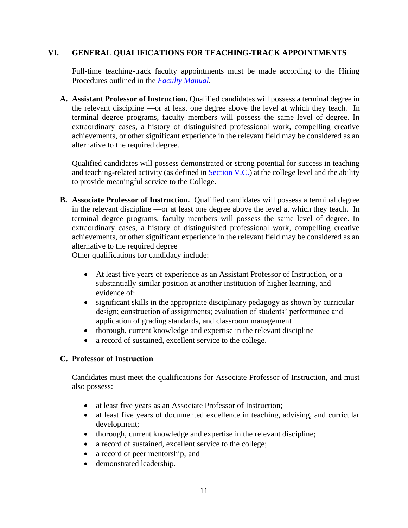## <span id="page-18-0"></span>**VI. GENERAL QUALIFICATIONS FOR TEACHING-TRACK APPOINTMENTS**

Full-time teaching-track faculty appointments must be made according to the Hiring Procedures outlined in the *[Faculty Manual](https://iris.colum.edu/academic/Policies%20%20Procedures%20Faculty/CCC%20Faculty%20Manual,%20A%20Guide%20to%20Policies%20and%20Procedures.pdf)*.

<span id="page-18-1"></span>**A. Assistant Professor of Instruction.** Qualified candidates will possess a terminal degree in the relevant discipline —or at least one degree above the level at which they teach. In terminal degree programs, faculty members will possess the same level of degree. In extraordinary cases, a history of distinguished professional work, compelling creative achievements, or other significant experience in the relevant field may be considered as an alternative to the required degree.

Qualified candidates will possess demonstrated or strong potential for success in teaching and teaching-related activity (as defined in [Section V.C.\)](#page-13-0) at the college level and the ability to provide meaningful service to the College.

<span id="page-18-2"></span>**B. Associate Professor of Instruction.** Qualified candidates will possess a terminal degree in the relevant discipline —or at least one degree above the level at which they teach. In terminal degree programs, faculty members will possess the same level of degree. In extraordinary cases, a history of distinguished professional work, compelling creative achievements, or other significant experience in the relevant field may be considered as an alternative to the required degree

Other qualifications for candidacy include:

- At least five years of experience as an Assistant Professor of Instruction, or a substantially similar position at another institution of higher learning, and evidence of:
- significant skills in the appropriate disciplinary pedagogy as shown by curricular design; construction of assignments; evaluation of students' performance and application of grading standards, and classroom management
- thorough, current knowledge and expertise in the relevant discipline
- a record of sustained, excellent service to the college.

## <span id="page-18-3"></span>**C. Professor of Instruction**

Candidates must meet the qualifications for Associate Professor of Instruction, and must also possess:

- at least five years as an Associate Professor of Instruction;
- at least five years of documented excellence in teaching, advising, and curricular development;
- thorough, current knowledge and expertise in the relevant discipline;
- a record of sustained, excellent service to the college;
- a record of peer mentorship, and
- demonstrated leadership.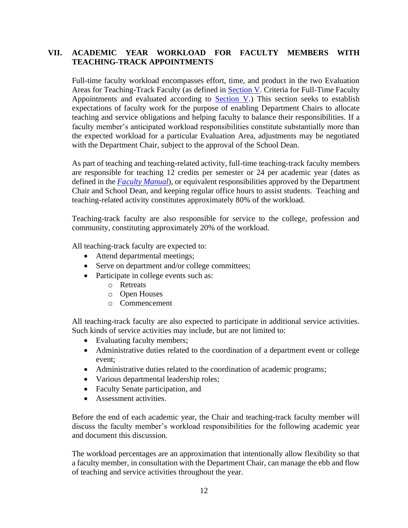## <span id="page-19-0"></span>**VII. ACADEMIC YEAR WORKLOAD FOR FACULTY MEMBERS WITH TEACHING-TRACK APPOINTMENTS**

Full-time faculty workload encompasses effort, time, and product in the two Evaluation Areas for Teaching-Track Faculty (as defined in [Section V.](#page-13-0) Criteria for Full-Time Faculty Appointments and evaluated according to  $Section V$ .) This section seeks to establish expectations of faculty work for the purpose of enabling Department Chairs to allocate teaching and service obligations and helping faculty to balance their responsibilities. If a faculty member's anticipated workload responsibilities constitute substantially more than the expected workload for a particular Evaluation Area, adjustments may be negotiated with the Department Chair, subject to the approval of the School Dean.

As part of teaching and teaching-related activity, full-time teaching-track faculty members are responsible for teaching 12 credits per semester or 24 per academic year (dates as defined in the *[Faculty Manual](https://iris.colum.edu/academic/Policies%20%20Procedures%20Faculty/CCC%20Faculty%20Manual,%20A%20Guide%20to%20Policies%20and%20Procedures.pdf)*), or equivalent responsibilities approved by the Department Chair and School Dean, and keeping regular office hours to assist students. Teaching and teaching-related activity constitutes approximately 80% of the workload.

Teaching-track faculty are also responsible for service to the college, profession and community, constituting approximately 20% of the workload.

All teaching-track faculty are expected to:

- Attend departmental meetings;
- Serve on department and/or college committees;
- Participate in college events such as:
	- o Retreats
	- o Open Houses
	- o Commencement

All teaching-track faculty are also expected to participate in additional service activities. Such kinds of service activities may include, but are not limited to:

- Evaluating faculty members;
- Administrative duties related to the coordination of a department event or college event;
- Administrative duties related to the coordination of academic programs;
- Various departmental leadership roles;
- Faculty Senate participation, and
- Assessment activities.

Before the end of each academic year, the Chair and teaching-track faculty member will discuss the faculty member's workload responsibilities for the following academic year and document this discussion.

The workload percentages are an approximation that intentionally allow flexibility so that a faculty member, in consultation with the Department Chair, can manage the ebb and flow of teaching and service activities throughout the year.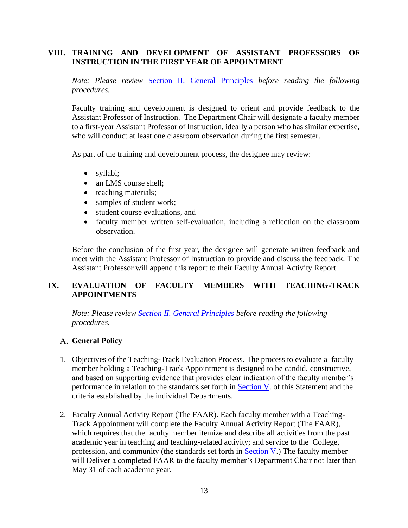## <span id="page-20-0"></span>**VIII. TRAINING AND DEVELOPMENT OF ASSISTANT PROFESSORS OF INSTRUCTION IN THE FIRST YEAR OF APPOINTMENT**

*Note: Please review* [Section II. General Principles](#page-9-3) *before reading the following procedures.* 

Faculty training and development is designed to orient and provide feedback to the Assistant Professor of Instruction. The Department Chair will designate a faculty member to a first-year Assistant Professor of Instruction, ideally a person who has similar expertise, who will conduct at least one classroom observation during the first semester.

As part of the training and development process, the designee may review:

- syllabi;
- an LMS course shell;
- teaching materials;
- samples of student work;
- student course evaluations, and
- faculty member written self-evaluation, including a reflection on the classroom observation.

Before the conclusion of the first year, the designee will generate written feedback and meet with the Assistant Professor of Instruction to provide and discuss the feedback. The Assistant Professor will append this report to their Faculty Annual Activity Report.

# <span id="page-20-1"></span>**IX. EVALUATION OF FACULTY MEMBERS WITH TEACHING-TRACK APPOINTMENTS**

*Note: Please review [Section II. General Principles](#page-9-3) before reading the following procedures.* 

## <span id="page-20-2"></span>**General Policy**

- <span id="page-20-3"></span>1. Objectives of the Teaching-Track Evaluation Process. The process to evaluate a faculty member holding a Teaching-Track Appointment is designed to be candid, constructive, and based on supporting evidence that provides clear indication of the faculty member's performance in relation to the standards set forth in [Section V.](#page-13-0) of this Statement and the criteria established by the individual Departments.
- <span id="page-20-4"></span>2. Faculty Annual Activity Report (The FAAR). Each faculty member with a Teaching-Track Appointment will complete the Faculty Annual Activity Report (The FAAR), which requires that the faculty member itemize and describe all activities from the past academic year in teaching and teaching-related activity; and service to the College, profession, and community (the standards set forth in [Section V.](#page-13-0)) The faculty member will Deliver a completed FAAR to the faculty member's Department Chair not later than May 31 of each academic year.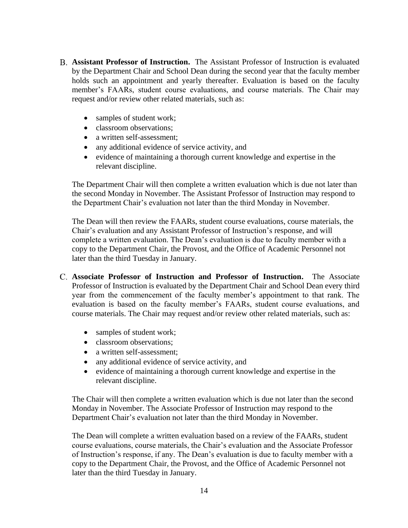- <span id="page-21-0"></span>**Assistant Professor of Instruction.** The Assistant Professor of Instruction is evaluated by the Department Chair and School Dean during the second year that the faculty member holds such an appointment and yearly thereafter. Evaluation is based on the faculty member's FAARs, student course evaluations, and course materials. The Chair may request and/or review other related materials, such as:
	- samples of student work;
	- classroom observations:
	- a written self-assessment:
	- any additional evidence of service activity, and
	- evidence of maintaining a thorough current knowledge and expertise in the relevant discipline.

The Department Chair will then complete a written evaluation which is due not later than the second Monday in November. The Assistant Professor of Instruction may respond to the Department Chair's evaluation not later than the third Monday in November.

The Dean will then review the FAARs, student course evaluations, course materials, the Chair's evaluation and any Assistant Professor of Instruction's response, and will complete a written evaluation. The Dean's evaluation is due to faculty member with a copy to the Department Chair, the Provost, and the Office of Academic Personnel not later than the third Tuesday in January.

- <span id="page-21-1"></span>**Associate Professor of Instruction and Professor of Instruction.** The Associate Professor of Instruction is evaluated by the Department Chair and School Dean every third year from the commencement of the faculty member's appointment to that rank. The evaluation is based on the faculty member's FAARs, student course evaluations, and course materials. The Chair may request and/or review other related materials, such as:
	- samples of student work;
	- classroom observations;
	- a written self-assessment:
	- any additional evidence of service activity, and
	- evidence of maintaining a thorough current knowledge and expertise in the relevant discipline.

The Chair will then complete a written evaluation which is due not later than the second Monday in November. The Associate Professor of Instruction may respond to the Department Chair's evaluation not later than the third Monday in November.

The Dean will complete a written evaluation based on a review of the FAARs, student course evaluations, course materials, the Chair's evaluation and the Associate Professor of Instruction's response, if any. The Dean's evaluation is due to faculty member with a copy to the Department Chair, the Provost, and the Office of Academic Personnel not later than the third Tuesday in January.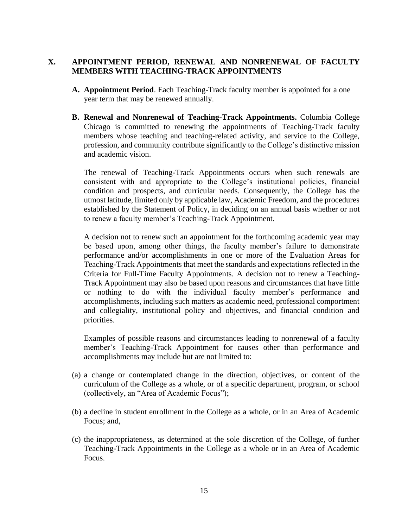## <span id="page-22-0"></span>**X. APPOINTMENT PERIOD, RENEWAL AND NONRENEWAL OF FACULTY MEMBERS WITH TEACHING-TRACK APPOINTMENTS**

- <span id="page-22-1"></span>**A. Appointment Period**. Each Teaching-Track faculty member is appointed for a one year term that may be renewed annually.
- <span id="page-22-2"></span>**B. Renewal and Nonrenewal of Teaching-Track Appointments.** Columbia College Chicago is committed to renewing the appointments of Teaching-Track faculty members whose teaching and teaching-related activity, and service to the College, profession, and community contribute significantly to the College's distinctive mission and academic vision.

The renewal of Teaching-Track Appointments occurs when such renewals are consistent with and appropriate to the College's institutional policies, financial condition and prospects, and curricular needs. Consequently, the College has the utmost latitude, limited only by applicable law, Academic Freedom, and the procedures established by the Statement of Policy, in deciding on an annual basis whether or not to renew a faculty member's Teaching-Track Appointment.

A decision not to renew such an appointment for the forthcoming academic year may be based upon, among other things, the faculty member's failure to demonstrate performance and/or accomplishments in one or more of the Evaluation Areas for Teaching-Track Appointments that meet the standards and expectations reflected in the Criteria for Full-Time Faculty Appointments. A decision not to renew a Teaching-Track Appointment may also be based upon reasons and circumstances that have little or nothing to do with the individual faculty member's performance and accomplishments, including such matters as academic need, professional comportment and collegiality, institutional policy and objectives, and financial condition and priorities.

Examples of possible reasons and circumstances leading to nonrenewal of a faculty member's Teaching-Track Appointment for causes other than performance and accomplishments may include but are not limited to:

- (a) a change or contemplated change in the direction, objectives, or content of the curriculum of the College as a whole, or of a specific department, program, or school (collectively, an "Area of Academic Focus");
- (b) a decline in student enrollment in the College as a whole, or in an Area of Academic Focus; and,
- (c) the inappropriateness, as determined at the sole discretion of the College, of further Teaching-Track Appointments in the College as a whole or in an Area of Academic Focus.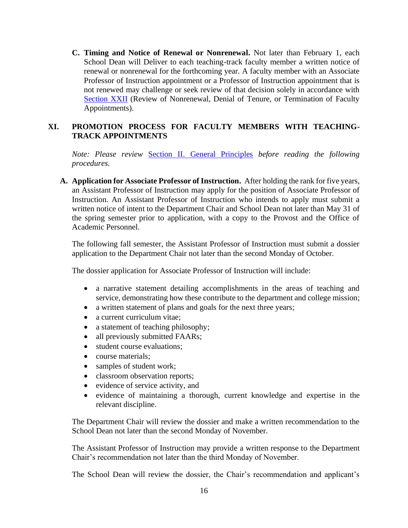<span id="page-23-0"></span>**C. Timing and Notice of Renewal or Nonrenewal.** Not later than February 1, each School Dean will Deliver to each teaching-track faculty member a written notice of renewal or nonrenewal for the forthcoming year. A faculty member with an Associate Professor of Instruction appointment or a Professor of Instruction appointment that is not renewed may challenge or seek review of that decision solely in accordance with [Section XXII](#page-55-2) (Review of Nonrenewal, Denial of Tenure, or Termination of Faculty Appointments).

## <span id="page-23-1"></span>**XI. PROMOTION PROCESS FOR FACULTY MEMBERS WITH TEACHING-TRACK APPOINTMENTS**

*Note: Please review* [Section II. General Principles](#page-9-3) *before reading the following procedures.* 

<span id="page-23-2"></span>**A. Application for Associate Professor of Instruction.** After holding the rank for five years, an Assistant Professor of Instruction may apply for the position of Associate Professor of Instruction. An Assistant Professor of Instruction who intends to apply must submit a written notice of intent to the Department Chair and School Dean not later than May 31 of the spring semester prior to application, with a copy to the Provost and the Office of Academic Personnel.

The following fall semester, the Assistant Professor of Instruction must submit a dossier application to the Department Chair not later than the second Monday of October.

The dossier application for Associate Professor of Instruction will include:

- a narrative statement detailing accomplishments in the areas of teaching and service, demonstrating how these contribute to the department and college mission;
- a written statement of plans and goals for the next three years;
- a current curriculum vitae;
- a statement of teaching philosophy;
- all previously submitted FAARs;
- student course evaluations:
- course materials:
- samples of student work;
- classroom observation reports;
- evidence of service activity, and
- evidence of maintaining a thorough, current knowledge and expertise in the relevant discipline.

The Department Chair will review the dossier and make a written recommendation to the School Dean not later than the second Monday of November.

The Assistant Professor of Instruction may provide a written response to the Department Chair's recommendation not later than the third Monday of November.

The School Dean will review the dossier, the Chair's recommendation and applicant's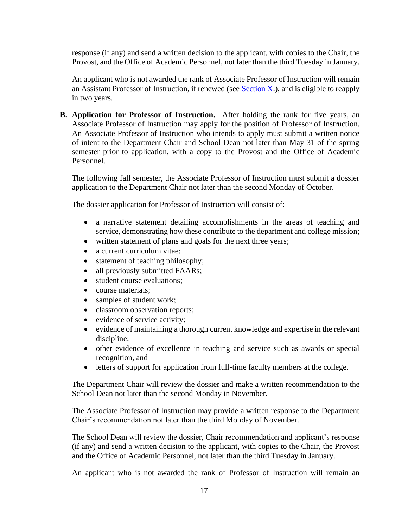response (if any) and send a written decision to the applicant, with copies to the Chair, the Provost, and the Office of Academic Personnel, not later than the third Tuesday in January.

An applicant who is not awarded the rank of Associate Professor of Instruction will remain an Assistant Professor of Instruction, if renewed (see Section  $X$ .), and is eligible to reapply in two years.

<span id="page-24-0"></span>**B. Application for Professor of Instruction.** After holding the rank for five years, an Associate Professor of Instruction may apply for the position of Professor of Instruction. An Associate Professor of Instruction who intends to apply must submit a written notice of intent to the Department Chair and School Dean not later than May 31 of the spring semester prior to application, with a copy to the Provost and the Office of Academic Personnel.

The following fall semester, the Associate Professor of Instruction must submit a dossier application to the Department Chair not later than the second Monday of October.

The dossier application for Professor of Instruction will consist of:

- a narrative statement detailing accomplishments in the areas of teaching and service, demonstrating how these contribute to the department and college mission;
- written statement of plans and goals for the next three years;
- a current curriculum vitae:
- statement of teaching philosophy;
- all previously submitted FAARs;
- student course evaluations:
- course materials;
- samples of student work;
- classroom observation reports;
- evidence of service activity;
- evidence of maintaining a thorough current knowledge and expertise in the relevant discipline;
- other evidence of excellence in teaching and service such as awards or special recognition, and
- letters of support for application from full-time faculty members at the college.

The Department Chair will review the dossier and make a written recommendation to the School Dean not later than the second Monday in November.

The Associate Professor of Instruction may provide a written response to the Department Chair's recommendation not later than the third Monday of November.

The School Dean will review the dossier, Chair recommendation and applicant's response (if any) and send a written decision to the applicant, with copies to the Chair, the Provost and the Office of Academic Personnel, not later than the third Tuesday in January.

An applicant who is not awarded the rank of Professor of Instruction will remain an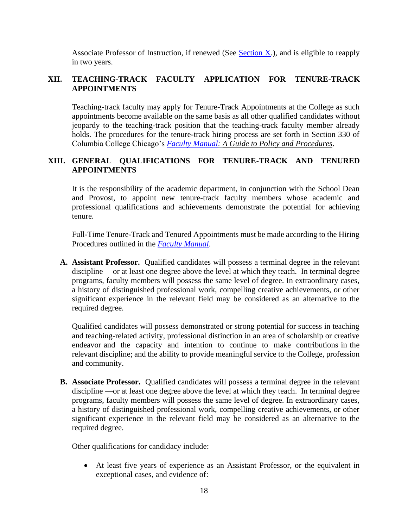Associate Professor of Instruction, if renewed (See Section  $X_i$ ), and is eligible to reapply in two years.

## <span id="page-25-0"></span>**XII. TEACHING-TRACK FACULTY APPLICATION FOR TENURE-TRACK APPOINTMENTS**

Teaching-track faculty may apply for Tenure-Track Appointments at the College as such appointments become available on the same basis as all other qualified candidates without jeopardy to the teaching-track position that the teaching-track faculty member already holds. The procedures for the tenure-track hiring process are set forth in Section 330 of Columbia College Chicago's *[Faculty Manual:](https://iris.colum.edu/academic/Policies%20%20Procedures%20Faculty/CCC%20Faculty%20Manual,%20A%20Guide%20to%20Policies%20and%20Procedures.pdf) A Guide to Policy and Procedures*.

## <span id="page-25-1"></span>**XIII. GENERAL QUALIFICATIONS FOR TENURE-TRACK AND TENURED APPOINTMENTS**

It is the responsibility of the academic department, in conjunction with the School Dean and Provost, to appoint new tenure-track faculty members whose academic and professional qualifications and achievements demonstrate the potential for achieving tenure.

Full-Time Tenure-Track and Tenured Appointments must be made according to the Hiring Procedures outlined in the *[Faculty Manual](https://iris.colum.edu/academic/Policies%20%20Procedures%20Faculty/CCC%20Faculty%20Manual,%20A%20Guide%20to%20Policies%20and%20Procedures.pdf)*.

<span id="page-25-2"></span>**A. Assistant Professor.** Qualified candidates will possess a terminal degree in the relevant discipline —or at least one degree above the level at which they teach. In terminal degree programs, faculty members will possess the same level of degree. In extraordinary cases, a history of distinguished professional work, compelling creative achievements, or other significant experience in the relevant field may be considered as an alternative to the required degree.

Qualified candidates will possess demonstrated or strong potential for success in teaching and teaching-related activity, professional distinction in an area of scholarship or creative endeavor and the capacity and intention to continue to make contributions in the relevant discipline; and the ability to provide meaningful service to the College, profession and community.

<span id="page-25-3"></span>**B. Associate Professor.** Qualified candidates will possess a terminal degree in the relevant discipline —or at least one degree above the level at which they teach. In terminal degree programs, faculty members will possess the same level of degree. In extraordinary cases, a history of distinguished professional work, compelling creative achievements, or other significant experience in the relevant field may be considered as an alternative to the required degree.

Other qualifications for candidacy include:

• At least five years of experience as an Assistant Professor, or the equivalent in exceptional cases, and evidence of: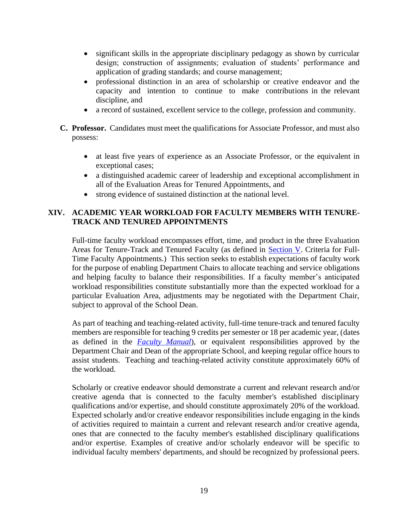- significant skills in the appropriate disciplinary pedagogy as shown by curricular design; construction of assignments; evaluation of students' performance and application of grading standards; and course management;
- professional distinction in an area of scholarship or creative endeavor and the capacity and intention to continue to make contributions in the relevant discipline, and
- a record of sustained, excellent service to the college, profession and community.
- <span id="page-26-0"></span>**C. Professor.** Candidates must meet the qualifications for Associate Professor, and must also possess:
	- at least five years of experience as an Associate Professor, or the equivalent in exceptional cases;
	- a distinguished academic career of leadership and exceptional accomplishment in all of the Evaluation Areas for Tenured Appointments, and
	- strong evidence of sustained distinction at the national level.

## <span id="page-26-1"></span>**XIV. ACADEMIC YEAR WORKLOAD FOR FACULTY MEMBERS WITH TENURE-TRACK AND TENURED APPOINTMENTS**

Full-time faculty workload encompasses effort, time, and product in the three Evaluation Areas for Tenure-Track and Tenured Faculty (as defined in [Section V.](#page-13-0) Criteria for Full-Time Faculty Appointments.) This section seeks to establish expectations of faculty work for the purpose of enabling Department Chairs to allocate teaching and service obligations and helping faculty to balance their responsibilities. If a faculty member's anticipated workload responsibilities constitute substantially more than the expected workload for a particular Evaluation Area, adjustments may be negotiated with the Department Chair, subject to approval of the School Dean.

As part of teaching and teaching-related activity, full-time tenure-track and tenured faculty members are responsible for teaching 9 credits per semester or 18 per academic year, (dates as defined in the *[Faculty Manual](https://iris.colum.edu/academic/Policies%20%20Procedures%20Faculty/CCC%20Faculty%20Manual,%20A%20Guide%20to%20Policies%20and%20Procedures.pdf)*), or equivalent responsibilities approved by the Department Chair and Dean of the appropriate School, and keeping regular office hours to assist students. Teaching and teaching-related activity constitute approximately 60% of the workload.

Scholarly or creative endeavor should demonstrate a current and relevant research and/or creative agenda that is connected to the faculty member's established disciplinary qualifications and/or expertise, and should constitute approximately 20% of the workload. Expected scholarly and/or creative endeavor responsibilities include engaging in the kinds of activities required to maintain a current and relevant research and/or creative agenda, ones that are connected to the faculty member's established disciplinary qualifications and/or expertise. Examples of creative and/or scholarly endeavor will be specific to individual faculty members' departments, and should be recognized by professional peers.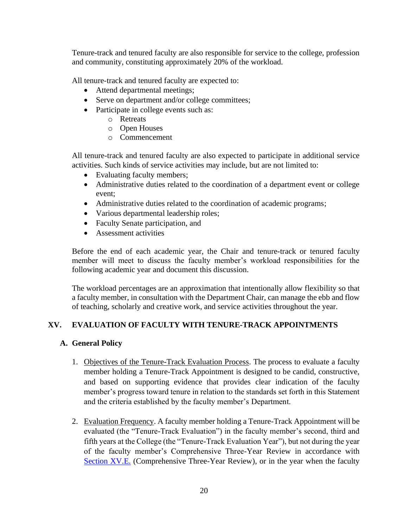Tenure-track and tenured faculty are also responsible for service to the college, profession and community, constituting approximately 20% of the workload.

All tenure-track and tenured faculty are expected to:

- Attend departmental meetings;
- Serve on department and/or college committees;
- Participate in college events such as:
	- o Retreats
	- o Open Houses
	- o Commencement

All tenure-track and tenured faculty are also expected to participate in additional service activities. Such kinds of service activities may include, but are not limited to:

- Evaluating faculty members;
- Administrative duties related to the coordination of a department event or college event;
- Administrative duties related to the coordination of academic programs;
- Various departmental leadership roles;
- Faculty Senate participation, and
- Assessment activities

Before the end of each academic year, the Chair and tenure-track or tenured faculty member will meet to discuss the faculty member's workload responsibilities for the following academic year and document this discussion.

The workload percentages are an approximation that intentionally allow flexibility so that a faculty member, in consultation with the Department Chair, can manage the ebb and flow of teaching, scholarly and creative work, and service activities throughout the year.

## <span id="page-27-0"></span>**XV. EVALUATION OF FACULTY WITH TENURE-TRACK APPOINTMENTS**

## <span id="page-27-2"></span><span id="page-27-1"></span>**A. General Policy**

- 1. Objectives of the Tenure-Track Evaluation Process. The process to evaluate a faculty member holding a Tenure-Track Appointment is designed to be candid, constructive, and based on supporting evidence that provides clear indication of the faculty member's progress toward tenure in relation to the standards set forth in this Statement and the criteria established by the faculty member's Department.
- <span id="page-27-3"></span>2. Evaluation Frequency. A faculty member holding a Tenure-Track Appointment will be evaluated (the "Tenure-Track Evaluation") in the faculty member's second, third and fifth years at the College (the "Tenure-Track Evaluation Year"), but not during the year of the faculty member's Comprehensive Three-Year Review in accordance with [Section XV.E.](#page-30-2) (Comprehensive Three-Year Review), or in the year when the faculty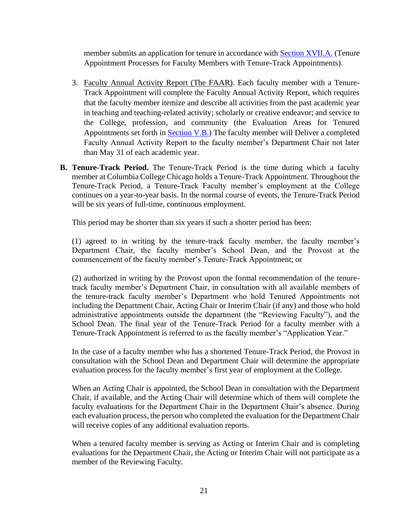member submits an application for tenure in accordance with [Section XVII.A.](#page-33-2) (Tenure Appointment Processes for Faculty Members with Tenure-Track Appointments).

- <span id="page-28-0"></span>3. Faculty Annual Activity Report (The FAAR). Each faculty member with a Tenure-Track Appointment will complete the Faculty Annual Activity Report, which requires that the faculty member itemize and describe all activities from the past academic year in teaching and teaching-related activity; scholarly or creative endeavor; and service to the College, profession, and community (the Evaluation Areas for Tenured Appointments set forth in [Section V.B.\)](#page-13-0) The faculty member will Deliver a completed Faculty Annual Activity Report to the faculty member's Department Chair not later than May 31 of each academic year.
- <span id="page-28-1"></span>**B. Tenure-Track Period.** The Tenure-Track Period is the time during which a faculty member at Columbia College Chicago holds a Tenure-Track Appointment. Throughout the Tenure-Track Period, a Tenure-Track Faculty member's employment at the College continues on a year-to-year basis. In the normal course of events, the Tenure-Track Period will be six years of full-time, continuous employment.

This period may be shorter than six years if such a shorter period has been:

(1) agreed to in writing by the tenure-track faculty member, the faculty member's Department Chair, the faculty member's School Dean, and the Provost at the commencement of the faculty member's Tenure-Track Appointment; or

(2) authorized in writing by the Provost upon the formal recommendation of the tenuretrack faculty member's Department Chair, in consultation with all available members of the tenure-track faculty member's Department who hold Tenured Appointments not including the Department Chair, Acting Chair or Interim Chair (if any) and those who hold administrative appointments outside the department (the "Reviewing Faculty"), and the School Dean. The final year of the Tenure-Track Period for a faculty member with a Tenure-Track Appointment is referred to as the faculty member's "Application Year."

In the case of a faculty member who has a shortened Tenure-Track Period, the Provost in consultation with the School Dean and Department Chair will determine the appropriate evaluation process for the faculty member's first year of employment at the College.

When an Acting Chair is appointed, the School Dean in consultation with the Department Chair, if available, and the Acting Chair will determine which of them will complete the faculty evaluations for the Department Chair in the Department Chair's absence. During each evaluation process, the person who completed the evaluation for the Department Chair will receive copies of any additional evaluation reports.

When a tenured faculty member is serving as Acting or Interim Chair and is completing evaluations for the Department Chair, the Acting or Interim Chair will not participate as a member of the Reviewing Faculty.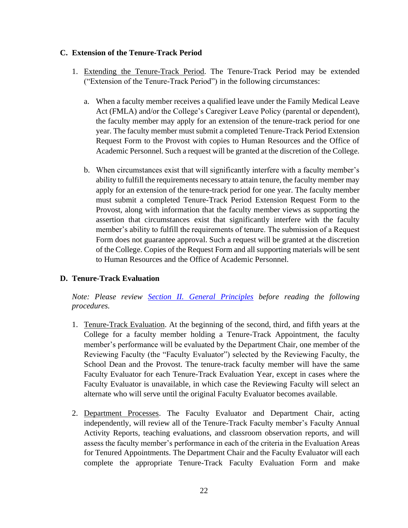## <span id="page-29-1"></span><span id="page-29-0"></span>**C. Extension of the Tenure-Track Period**

- 1. Extending the Tenure-Track Period. The Tenure-Track Period may be extended ("Extension of the Tenure-Track Period") in the following circumstances:
	- a. When a faculty member receives a qualified leave under the Family Medical Leave Act (FMLA) and/or the College's Caregiver Leave Policy (parental or dependent), the faculty member may apply for an extension of the tenure-track period for one year. The faculty member must submit a completed Tenure-Track Period Extension Request Form to the Provost with copies to Human Resources and the Office of Academic Personnel. Such a request will be granted at the discretion of the College.
	- b. When circumstances exist that will significantly interfere with a faculty member's ability to fulfill the requirements necessary to attain tenure, the faculty member may apply for an extension of the tenure-track period for one year. The faculty member must submit a completed Tenure-Track Period Extension Request Form to the Provost, along with information that the faculty member views as supporting the assertion that circumstances exist that significantly interfere with the faculty member's ability to fulfill the requirements of tenure. The submission of a Request Form does not guarantee approval. Such a request will be granted at the discretion of the College. Copies of the Request Form and all supporting materials will be sent to Human Resources and the Office of Academic Personnel.

## <span id="page-29-2"></span>**D. Tenure-Track Evaluation**

*Note: Please review [Section II. General Principles](#page-9-3) before reading the following procedures.*

- <span id="page-29-3"></span>1. Tenure-Track Evaluation. At the beginning of the second, third, and fifth years at the College for a faculty member holding a Tenure-Track Appointment, the faculty member's performance will be evaluated by the Department Chair, one member of the Reviewing Faculty (the "Faculty Evaluator") selected by the Reviewing Faculty, the School Dean and the Provost. The tenure-track faculty member will have the same Faculty Evaluator for each Tenure-Track Evaluation Year, except in cases where the Faculty Evaluator is unavailable, in which case the Reviewing Faculty will select an alternate who will serve until the original Faculty Evaluator becomes available.
- <span id="page-29-4"></span>2. Department Processes. The Faculty Evaluator and Department Chair, acting independently, will review all of the Tenure-Track Faculty member's Faculty Annual Activity Reports, teaching evaluations, and classroom observation reports, and will assess the faculty member's performance in each of the criteria in the Evaluation Areas for Tenured Appointments. The Department Chair and the Faculty Evaluator will each complete the appropriate Tenure-Track Faculty Evaluation Form and make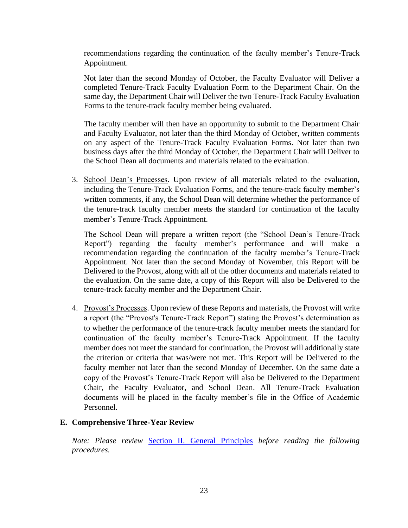recommendations regarding the continuation of the faculty member's Tenure-Track Appointment.

Not later than the second Monday of October, the Faculty Evaluator will Deliver a completed Tenure-Track Faculty Evaluation Form to the Department Chair. On the same day, the Department Chair will Deliver the two Tenure-Track Faculty Evaluation Forms to the tenure-track faculty member being evaluated.

The faculty member will then have an opportunity to submit to the Department Chair and Faculty Evaluator, not later than the third Monday of October, written comments on any aspect of the Tenure-Track Faculty Evaluation Forms. Not later than two business days after the third Monday of October, the Department Chair will Deliver to the School Dean all documents and materials related to the evaluation.

<span id="page-30-0"></span>3. School Dean's Processes. Upon review of all materials related to the evaluation, including the Tenure-Track Evaluation Forms, and the tenure-track faculty member's written comments, if any, the School Dean will determine whether the performance of the tenure-track faculty member meets the standard for continuation of the faculty member's Tenure-Track Appointment.

The School Dean will prepare a written report (the "School Dean's Tenure-Track Report") regarding the faculty member's performance and will make a recommendation regarding the continuation of the faculty member's Tenure-Track Appointment. Not later than the second Monday of November, this Report will be Delivered to the Provost, along with all of the other documents and materials related to the evaluation. On the same date, a copy of this Report will also be Delivered to the tenure-track faculty member and the Department Chair.

<span id="page-30-1"></span>4. Provost's Processes. Upon review of these Reports and materials, the Provost will write a report (the "Provost's Tenure-Track Report") stating the Provost's determination as to whether the performance of the tenure-track faculty member meets the standard for continuation of the faculty member's Tenure-Track Appointment. If the faculty member does not meet the standard for continuation, the Provost will additionally state the criterion or criteria that was/were not met. This Report will be Delivered to the faculty member not later than the second Monday of December. On the same date a copy of the Provost's Tenure-Track Report will also be Delivered to the Department Chair, the Faculty Evaluator, and School Dean. All Tenure-Track Evaluation documents will be placed in the faculty member's file in the Office of Academic Personnel.

## <span id="page-30-2"></span>**E. Comprehensive Three-Year Review**

*Note: Please review* [Section II. General Principles](#page-9-3) *before reading the following procedures.*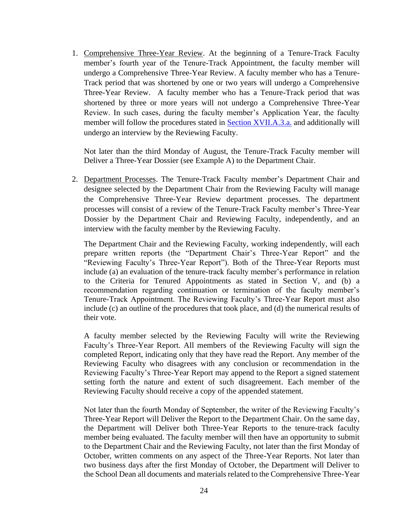<span id="page-31-0"></span>1. Comprehensive Three-Year Review. At the beginning of a Tenure-Track Faculty member's fourth year of the Tenure-Track Appointment, the faculty member will undergo a Comprehensive Three-Year Review. A faculty member who has a Tenure-Track period that was shortened by one or two years will undergo a Comprehensive Three-Year Review. A faculty member who has a Tenure-Track period that was shortened by three or more years will not undergo a Comprehensive Three-Year Review. In such cases, during the faculty member's Application Year, the faculty member will follow the procedures stated in [Section XVII.A.3.a.](#page-36-1) and additionally will undergo an interview by the Reviewing Faculty.

Not later than the third Monday of August, the Tenure-Track Faculty member will Deliver a Three-Year Dossier (see Example A) to the Department Chair.

<span id="page-31-1"></span>2. Department Processes. The Tenure-Track Faculty member's Department Chair and designee selected by the Department Chair from the Reviewing Faculty will manage the Comprehensive Three-Year Review department processes. The department processes will consist of a review of the Tenure-Track Faculty member's Three-Year Dossier by the Department Chair and Reviewing Faculty, independently, and an interview with the faculty member by the Reviewing Faculty.

The Department Chair and the Reviewing Faculty, working independently, will each prepare written reports (the "Department Chair's Three-Year Report" and the "Reviewing Faculty's Three-Year Report"). Both of the Three-Year Reports must include (a) an evaluation of the tenure-track faculty member's performance in relation to the Criteria for Tenured Appointments as stated in Section V, and (b) a recommendation regarding continuation or termination of the faculty member's Tenure-Track Appointment. The Reviewing Faculty's Three-Year Report must also include (c) an outline of the procedures that took place, and (d) the numerical results of their vote.

A faculty member selected by the Reviewing Faculty will write the Reviewing Faculty's Three-Year Report. All members of the Reviewing Faculty will sign the completed Report, indicating only that they have read the Report. Any member of the Reviewing Faculty who disagrees with any conclusion or recommendation in the Reviewing Faculty's Three-Year Report may append to the Report a signed statement setting forth the nature and extent of such disagreement. Each member of the Reviewing Faculty should receive a copy of the appended statement.

Not later than the fourth Monday of September, the writer of the Reviewing Faculty's Three-Year Report will Deliver the Report to the Department Chair. On the same day, the Department will Deliver both Three-Year Reports to the tenure-track faculty member being evaluated. The faculty member will then have an opportunity to submit to the Department Chair and the Reviewing Faculty, not later than the first Monday of October, written comments on any aspect of the Three-Year Reports. Not later than two business days after the first Monday of October, the Department will Deliver to the School Dean all documents and materials related to the Comprehensive Three-Year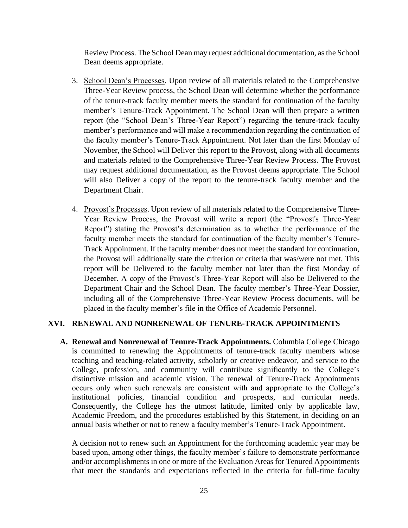Review Process. The School Dean may request additional documentation, as the School Dean deems appropriate.

- <span id="page-32-0"></span>3. School Dean's Processes. Upon review of all materials related to the Comprehensive Three-Year Review process, the School Dean will determine whether the performance of the tenure-track faculty member meets the standard for continuation of the faculty member's Tenure-Track Appointment. The School Dean will then prepare a written report (the "School Dean's Three-Year Report") regarding the tenure-track faculty member's performance and will make a recommendation regarding the continuation of the faculty member's Tenure-Track Appointment. Not later than the first Monday of November, the School will Deliver this report to the Provost, along with all documents and materials related to the Comprehensive Three-Year Review Process. The Provost may request additional documentation, as the Provost deems appropriate. The School will also Deliver a copy of the report to the tenure-track faculty member and the Department Chair.
- <span id="page-32-1"></span>4. Provost's Processes. Upon review of all materials related to the Comprehensive Three-Year Review Process, the Provost will write a report (the "Provost's Three-Year Report") stating the Provost's determination as to whether the performance of the faculty member meets the standard for continuation of the faculty member's Tenure-Track Appointment. If the faculty member does not meet the standard for continuation, the Provost will additionally state the criterion or criteria that was/were not met. This report will be Delivered to the faculty member not later than the first Monday of December. A copy of the Provost's Three-Year Report will also be Delivered to the Department Chair and the School Dean. The faculty member's Three-Year Dossier, including all of the Comprehensive Three-Year Review Process documents, will be placed in the faculty member's file in the Office of Academic Personnel.

#### <span id="page-32-2"></span>**XVI. RENEWAL AND NONRENEWAL OF TENURE-TRACK APPOINTMENTS**

<span id="page-32-4"></span><span id="page-32-3"></span>**A. Renewal and Nonrenewal of Tenure-Track Appointments.** Columbia College Chicago is committed to renewing the Appointments of tenure-track faculty members whose teaching and teaching-related activity, scholarly or creative endeavor, and service to the College, profession, and community will contribute significantly to the College's distinctive mission and academic vision. The renewal of Tenure-Track Appointments occurs only when such renewals are consistent with and appropriate to the College's institutional policies, financial condition and prospects, and curricular needs. Consequently, the College has the utmost latitude, limited only by applicable law, Academic Freedom, and the procedures established by this Statement, in deciding on an annual basis whether or not to renew a faculty member's Tenure-Track Appointment.

A decision not to renew such an Appointment for the forthcoming academic year may be based upon, among other things, the faculty member's failure to demonstrate performance and/or accomplishments in one or more of the Evaluation Areas for Tenured Appointments that meet the standards and expectations reflected in the criteria for full-time faculty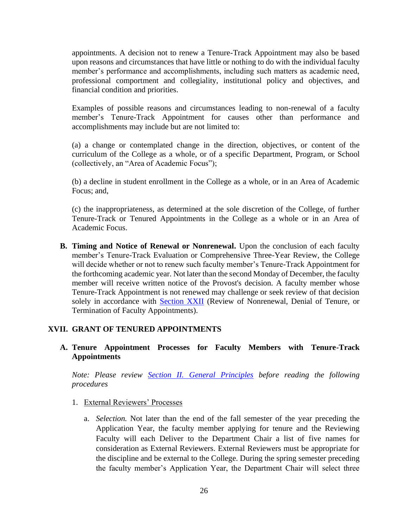appointments. A decision not to renew a Tenure-Track Appointment may also be based upon reasons and circumstances that have little or nothing to do with the individual faculty member's performance and accomplishments, including such matters as academic need, professional comportment and collegiality, institutional policy and objectives, and financial condition and priorities.

Examples of possible reasons and circumstances leading to non-renewal of a faculty member's Tenure-Track Appointment for causes other than performance and accomplishments may include but are not limited to:

(a) a change or contemplated change in the direction, objectives, or content of the curriculum of the College as a whole, or of a specific Department, Program, or School (collectively, an "Area of Academic Focus");

(b) a decline in student enrollment in the College as a whole, or in an Area of Academic Focus; and,

(c) the inappropriateness, as determined at the sole discretion of the College, of further Tenure-Track or Tenured Appointments in the College as a whole or in an Area of Academic Focus.

<span id="page-33-0"></span>**B. Timing and Notice of Renewal or Nonrenewal.** Upon the conclusion of each faculty member's Tenure-Track Evaluation or Comprehensive Three-Year Review, the College will decide whether or not to renew such faculty member's Tenure-Track Appointment for the forthcoming academic year. Not later than the second Monday of December, the faculty member will receive written notice of the Provost's decision. A faculty member whose Tenure-Track Appointment is not renewed may challenge or seek review of that decision solely in accordance with [Section XXII](#page-55-2) (Review of Nonrenewal, Denial of Tenure, or Termination of Faculty Appointments).

#### <span id="page-33-1"></span>**XVII. GRANT OF TENURED APPOINTMENTS**

## <span id="page-33-5"></span><span id="page-33-2"></span>**A. Tenure Appointment Processes for Faculty Members with Tenure-Track Appointments**

*Note: Please review [Section II. General Principles](#page-9-3) before reading the following procedures*

#### <span id="page-33-4"></span><span id="page-33-3"></span>1. External Reviewers' Processes

a. *Selection.* Not later than the end of the fall semester of the year preceding the Application Year, the faculty member applying for tenure and the Reviewing Faculty will each Deliver to the Department Chair a list of five names for consideration as External Reviewers. External Reviewers must be appropriate for the discipline and be external to the College. During the spring semester preceding the faculty member's Application Year, the Department Chair will select three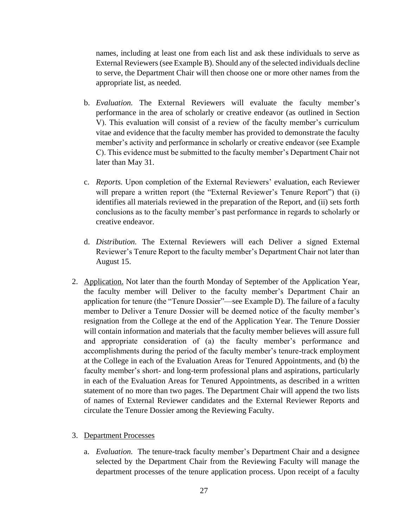names, including at least one from each list and ask these individuals to serve as External Reviewers (see Example B). Should any of the selected individuals decline to serve, the Department Chair will then choose one or more other names from the appropriate list, as needed.

- <span id="page-34-0"></span>b. *Evaluation.* The External Reviewers will evaluate the faculty member's performance in the area of scholarly or creative endeavor (as outlined in Section V). This evaluation will consist of a review of the faculty member's curriculum vitae and evidence that the faculty member has provided to demonstrate the faculty member's activity and performance in scholarly or creative endeavor (see Example C). This evidence must be submitted to the faculty member's Department Chair not later than May 31.
- <span id="page-34-1"></span>c. *Reports.* Upon completion of the External Reviewers' evaluation, each Reviewer will prepare a written report (the "External Reviewer's Tenure Report") that (i) identifies all materials reviewed in the preparation of the Report, and (ii) sets forth conclusions as to the faculty member's past performance in regards to scholarly or creative endeavor.
- <span id="page-34-2"></span>d. *Distribution.* The External Reviewers will each Deliver a signed External Reviewer's Tenure Report to the faculty member's Department Chair not later than August 15.
- <span id="page-34-3"></span>2. Application. Not later than the fourth Monday of September of the Application Year, the faculty member will Deliver to the faculty member's Department Chair an application for tenure (the "Tenure Dossier"—see Example D). The failure of a faculty member to Deliver a Tenure Dossier will be deemed notice of the faculty member's resignation from the College at the end of the Application Year. The Tenure Dossier will contain information and materials that the faculty member believes will assure full and appropriate consideration of (a) the faculty member's performance and accomplishments during the period of the faculty member's tenure-track employment at the College in each of the Evaluation Areas for Tenured Appointments, and (b) the faculty member's short- and long-term professional plans and aspirations, particularly in each of the Evaluation Areas for Tenured Appointments, as described in a written statement of no more than two pages. The Department Chair will append the two lists of names of External Reviewer candidates and the External Reviewer Reports and circulate the Tenure Dossier among the Reviewing Faculty.

#### <span id="page-34-5"></span><span id="page-34-4"></span>3. Department Processes

a. *Evaluation.* The tenure-track faculty member's Department Chair and a designee selected by the Department Chair from the Reviewing Faculty will manage the department processes of the tenure application process. Upon receipt of a faculty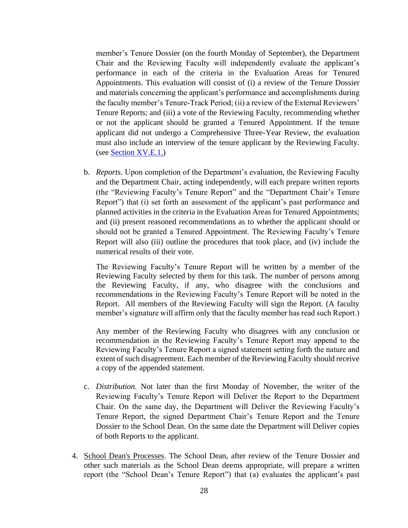member's Tenure Dossier (on the fourth Monday of September), the Department Chair and the Reviewing Faculty will independently evaluate the applicant's performance in each of the criteria in the Evaluation Areas for Tenured Appointments. This evaluation will consist of (i) a review of the Tenure Dossier and materials concerning the applicant's performance and accomplishments during the faculty member's Tenure-Track Period; (ii) a review of the External Reviewers' Tenure Reports; and (iii) a vote of the Reviewing Faculty, recommending whether or not the applicant should be granted a Tenured Appointment. If the tenure applicant did not undergo a Comprehensive Three-Year Review, the evaluation must also include an interview of the tenure applicant by the Reviewing Faculty. (see [Section XV.E.1.\)](#page-30-2)

<span id="page-35-0"></span>b. *Reports.* Upon completion of the Department's evaluation, the Reviewing Faculty and the Department Chair, acting independently, will each prepare written reports (the "Reviewing Faculty's Tenure Report" and the "Department Chair's Tenure Report") that (i) set forth an assessment of the applicant's past performance and planned activities in the criteria in the Evaluation Areas for Tenured Appointments; and (ii) present reasoned recommendations as to whether the applicant should or should not be granted a Tenured Appointment. The Reviewing Faculty's Tenure Report will also (iii) outline the procedures that took place, and (iv) include the numerical results of their vote.

The Reviewing Faculty's Tenure Report will be written by a member of the Reviewing Faculty selected by them for this task. The number of persons among the Reviewing Faculty, if any, who disagree with the conclusions and recommendations in the Reviewing Faculty's Tenure Report will be noted in the Report. All members of the Reviewing Faculty will sign the Report. (A faculty member's signature will affirm only that the faculty member has read such Report.)

Any member of the Reviewing Faculty who disagrees with any conclusion or recommendation in the Reviewing Faculty's Tenure Report may append to the Reviewing Faculty's Tenure Report a signed statement setting forth the nature and extent of such disagreement. Each member of the Reviewing Faculty should receive a copy of the appended statement.

- <span id="page-35-1"></span>c. *Distribution.* Not later than the first Monday of November, the writer of the Reviewing Faculty's Tenure Report will Deliver the Report to the Department Chair. On the same day, the Department will Deliver the Reviewing Faculty's Tenure Report, the signed Department Chair's Tenure Report and the Tenure Dossier to the School Dean. On the same date the Department will Deliver copies of both Reports to the applicant.
- <span id="page-35-2"></span>4. School Dean's Processes. The School Dean, after review of the Tenure Dossier and other such materials as the School Dean deems appropriate, will prepare a written report (the "School Dean's Tenure Report") that (a) evaluates the applicant's past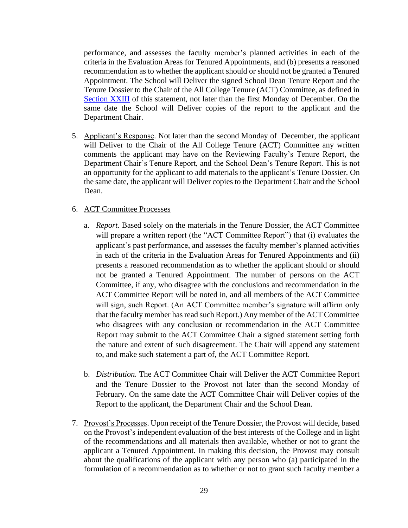performance, and assesses the faculty member's planned activities in each of the criteria in the Evaluation Areas for Tenured Appointments, and (b) presents a reasoned recommendation as to whether the applicant should or should not be granted a Tenured Appointment. The School will Deliver the signed School Dean Tenure Report and the Tenure Dossier to the Chair of the All College Tenure (ACT) Committee, as defined in [Section XXIII](#page-57-0) of this statement, not later than the first Monday of December. On the same date the School will Deliver copies of the report to the applicant and the Department Chair.

<span id="page-36-0"></span>5. Applicant's Response. Not later than the second Monday of December, the applicant will Deliver to the Chair of the All College Tenure (ACT) Committee any written comments the applicant may have on the Reviewing Faculty's Tenure Report, the Department Chair's Tenure Report, and the School Dean's Tenure Report. This is not an opportunity for the applicant to add materials to the applicant's Tenure Dossier. On the same date, the applicant will Deliver copies to the Department Chair and the School Dean.

#### <span id="page-36-2"></span><span id="page-36-1"></span>6. ACT Committee Processes

- a. *Report.* Based solely on the materials in the Tenure Dossier, the ACT Committee will prepare a written report (the "ACT Committee Report") that (i) evaluates the applicant's past performance, and assesses the faculty member's planned activities in each of the criteria in the Evaluation Areas for Tenured Appointments and (ii) presents a reasoned recommendation as to whether the applicant should or should not be granted a Tenured Appointment. The number of persons on the ACT Committee, if any, who disagree with the conclusions and recommendation in the ACT Committee Report will be noted in, and all members of the ACT Committee will sign, such Report. (An ACT Committee member's signature will affirm only that the faculty member has read such Report.) Any member of the ACT Committee who disagrees with any conclusion or recommendation in the ACT Committee Report may submit to the ACT Committee Chair a signed statement setting forth the nature and extent of such disagreement. The Chair will append any statement to, and make such statement a part of, the ACT Committee Report.
- <span id="page-36-3"></span>b. *Distribution.* The ACT Committee Chair will Deliver the ACT Committee Report and the Tenure Dossier to the Provost not later than the second Monday of February. On the same date the ACT Committee Chair will Deliver copies of the Report to the applicant, the Department Chair and the School Dean.
- <span id="page-36-4"></span>7. Provost's Processes. Upon receipt of the Tenure Dossier, the Provost will decide, based on the Provost's independent evaluation of the best interests of the College and in light of the recommendations and all materials then available, whether or not to grant the applicant a Tenured Appointment. In making this decision, the Provost may consult about the qualifications of the applicant with any person who (a) participated in the formulation of a recommendation as to whether or not to grant such faculty member a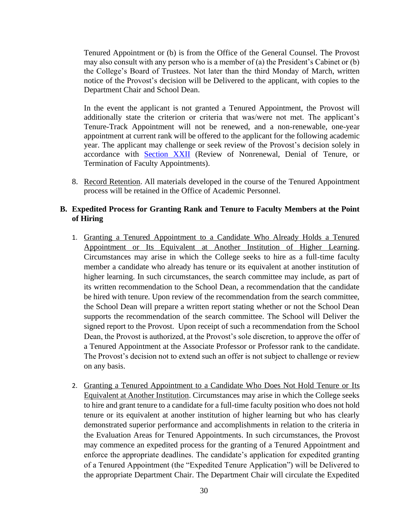Tenured Appointment or (b) is from the Office of the General Counsel. The Provost may also consult with any person who is a member of (a) the President's Cabinet or (b) the College's Board of Trustees. Not later than the third Monday of March, written notice of the Provost's decision will be Delivered to the applicant, with copies to the Department Chair and School Dean.

In the event the applicant is not granted a Tenured Appointment, the Provost will additionally state the criterion or criteria that was/were not met. The applicant's Tenure-Track Appointment will not be renewed, and a non-renewable, one-year appointment at current rank will be offered to the applicant for the following academic year. The applicant may challenge or seek review of the Provost's decision solely in accordance with [Section XXII](#page-55-2) (Review of Nonrenewal, Denial of Tenure, or Termination of Faculty Appointments).

<span id="page-37-0"></span>8. Record Retention. All materials developed in the course of the Tenured Appointment process will be retained in the Office of Academic Personnel.

#### <span id="page-37-1"></span>**B. Expedited Process for Granting Rank and Tenure to Faculty Members at the Point of Hiring**

- <span id="page-37-2"></span>1. Granting a Tenured Appointment to a Candidate Who Already Holds a Tenured Appointment or Its Equivalent at Another Institution of Higher Learning. Circumstances may arise in which the College seeks to hire as a full-time faculty member a candidate who already has tenure or its equivalent at another institution of higher learning. In such circumstances, the search committee may include, as part of its written recommendation to the School Dean, a recommendation that the candidate be hired with tenure. Upon review of the recommendation from the search committee, the School Dean will prepare a written report stating whether or not the School Dean supports the recommendation of the search committee. The School will Deliver the signed report to the Provost. Upon receipt of such a recommendation from the School Dean, the Provost is authorized, at the Provost's sole discretion, to approve the offer of a Tenured Appointment at the Associate Professor or Professor rank to the candidate. The Provost's decision not to extend such an offer is not subject to challenge or review on any basis.
- <span id="page-37-3"></span>2. Granting a Tenured Appointment to a Candidate Who Does Not Hold Tenure or Its Equivalent at Another Institution. Circumstances may arise in which the College seeks to hire and grant tenure to a candidate for a full-time faculty position who does not hold tenure or its equivalent at another institution of higher learning but who has clearly demonstrated superior performance and accomplishments in relation to the criteria in the Evaluation Areas for Tenured Appointments. In such circumstances, the Provost may commence an expedited process for the granting of a Tenured Appointment and enforce the appropriate deadlines. The candidate's application for expedited granting of a Tenured Appointment (the "Expedited Tenure Application") will be Delivered to the appropriate Department Chair. The Department Chair will circulate the Expedited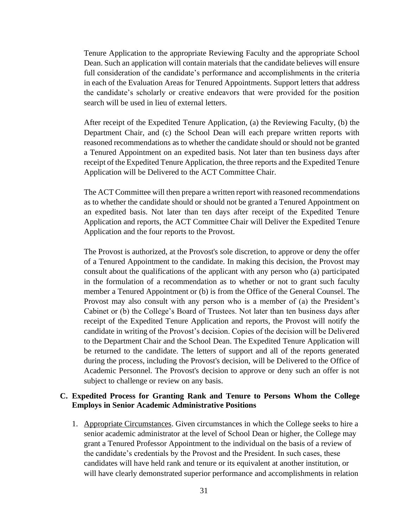Tenure Application to the appropriate Reviewing Faculty and the appropriate School Dean. Such an application will contain materials that the candidate believes will ensure full consideration of the candidate's performance and accomplishments in the criteria in each of the Evaluation Areas for Tenured Appointments. Support letters that address the candidate's scholarly or creative endeavors that were provided for the position search will be used in lieu of external letters.

After receipt of the Expedited Tenure Application, (a) the Reviewing Faculty, (b) the Department Chair, and (c) the School Dean will each prepare written reports with reasoned recommendations as to whether the candidate should or should not be granted a Tenured Appointment on an expedited basis. Not later than ten business days after receipt of the Expedited Tenure Application, the three reports and the Expedited Tenure Application will be Delivered to the ACT Committee Chair.

The ACT Committee will then prepare a written report with reasoned recommendations as to whether the candidate should or should not be granted a Tenured Appointment on an expedited basis. Not later than ten days after receipt of the Expedited Tenure Application and reports, the ACT Committee Chair will Deliver the Expedited Tenure Application and the four reports to the Provost.

The Provost is authorized, at the Provost's sole discretion, to approve or deny the offer of a Tenured Appointment to the candidate. In making this decision, the Provost may consult about the qualifications of the applicant with any person who (a) participated in the formulation of a recommendation as to whether or not to grant such faculty member a Tenured Appointment or (b) is from the Office of the General Counsel. The Provost may also consult with any person who is a member of (a) the President's Cabinet or (b) the College's Board of Trustees. Not later than ten business days after receipt of the Expedited Tenure Application and reports, the Provost will notify the candidate in writing of the Provost's decision. Copies of the decision will be Delivered to the Department Chair and the School Dean. The Expedited Tenure Application will be returned to the candidate. The letters of support and all of the reports generated during the process, including the Provost's decision, will be Delivered to the Office of Academic Personnel. The Provost's decision to approve or deny such an offer is not subject to challenge or review on any basis.

#### <span id="page-38-0"></span>**C. Expedited Process for Granting Rank and Tenure to Persons Whom the College Employs in Senior Academic Administrative Positions**

<span id="page-38-1"></span>1. Appropriate Circumstances. Given circumstances in which the College seeks to hire a senior academic administrator at the level of School Dean or higher, the College may grant a Tenured Professor Appointment to the individual on the basis of a review of the candidate's credentials by the Provost and the President. In such cases, these candidates will have held rank and tenure or its equivalent at another institution, or will have clearly demonstrated superior performance and accomplishments in relation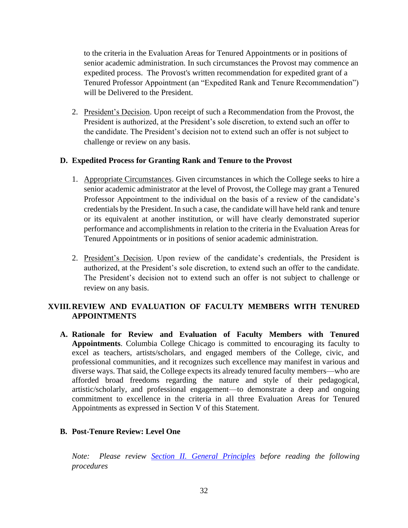to the criteria in the Evaluation Areas for Tenured Appointments or in positions of senior academic administration. In such circumstances the Provost may commence an expedited process. The Provost's written recommendation for expedited grant of a Tenured Professor Appointment (an "Expedited Rank and Tenure Recommendation") will be Delivered to the President.

<span id="page-39-0"></span>2. President's Decision. Upon receipt of such a Recommendation from the Provost, the President is authorized, at the President's sole discretion, to extend such an offer to the candidate. The President's decision not to extend such an offer is not subject to challenge or review on any basis.

#### <span id="page-39-2"></span><span id="page-39-1"></span>**D. Expedited Process for Granting Rank and Tenure to the Provost**

- 1. Appropriate Circumstances. Given circumstances in which the College seeks to hire a senior academic administrator at the level of Provost, the College may grant a Tenured Professor Appointment to the individual on the basis of a review of the candidate's credentials by the President. In such a case, the candidate will have held rank and tenure or its equivalent at another institution, or will have clearly demonstrated superior performance and accomplishments in relation to the criteria in the Evaluation Areas for Tenured Appointments or in positions of senior academic administration.
- <span id="page-39-7"></span><span id="page-39-3"></span>2. President's Decision. Upon review of the candidate's credentials, the President is authorized, at the President's sole discretion, to extend such an offer to the candidate. The President's decision not to extend such an offer is not subject to challenge or review on any basis.

# <span id="page-39-4"></span>**XVIII.REVIEW AND EVALUATION OF FACULTY MEMBERS WITH TENURED APPOINTMENTS**

<span id="page-39-5"></span>**A. Rationale for Review and Evaluation of Faculty Members with Tenured Appointments**. Columbia College Chicago is committed to encouraging its faculty to excel as teachers, artists/scholars, and engaged members of the College, civic, and professional communities, and it recognizes such excellence may manifest in various and diverse ways. That said, the College expects its already tenured faculty members—who are afforded broad freedoms regarding the nature and style of their pedagogical, artistic/scholarly, and professional engagement—to demonstrate a deep and ongoing commitment to excellence in the criteria in all three Evaluation Areas for Tenured Appointments as expressed in Section V of this Statement.

## <span id="page-39-6"></span>**B. Post-Tenure Review: Level One**

*Note: Please review [Section II. General Principles](#page-9-3) before reading the following procedures*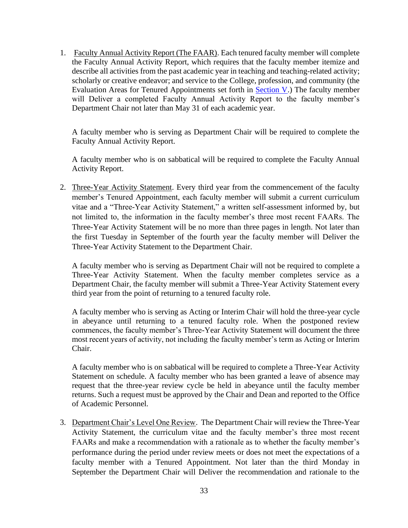<span id="page-40-0"></span>1. Faculty Annual Activity Report (The FAAR). Each tenured faculty member will complete the Faculty Annual Activity Report, which requires that the faculty member itemize and describe all activities from the past academic year in teaching and teaching-related activity; scholarly or creative endeavor; and service to the College, profession, and community (the Evaluation Areas for Tenured Appointments set forth in [Section V.](#page-13-0)) The faculty member will Deliver a completed Faculty Annual Activity Report to the faculty member's Department Chair not later than May 31 of each academic year.

A faculty member who is serving as Department Chair will be required to complete the Faculty Annual Activity Report.

A faculty member who is on sabbatical will be required to complete the Faculty Annual Activity Report.

<span id="page-40-1"></span>2. Three-Year Activity Statement. Every third year from the commencement of the faculty member's Tenured Appointment, each faculty member will submit a current curriculum vitae and a "Three-Year Activity Statement," a written self-assessment informed by, but not limited to, the information in the faculty member's three most recent FAARs. The Three-Year Activity Statement will be no more than three pages in length. Not later than the first Tuesday in September of the fourth year the faculty member will Deliver the Three-Year Activity Statement to the Department Chair.

A faculty member who is serving as Department Chair will not be required to complete a Three-Year Activity Statement. When the faculty member completes service as a Department Chair, the faculty member will submit a Three-Year Activity Statement every third year from the point of returning to a tenured faculty role.

A faculty member who is serving as Acting or Interim Chair will hold the three-year cycle in abeyance until returning to a tenured faculty role. When the postponed review commences, the faculty member's Three-Year Activity Statement will document the three most recent years of activity, not including the faculty member's term as Acting or Interim Chair.

A faculty member who is on sabbatical will be required to complete a Three-Year Activity Statement on schedule. A faculty member who has been granted a leave of absence may request that the three-year review cycle be held in abeyance until the faculty member returns. Such a request must be approved by the Chair and Dean and reported to the Office of Academic Personnel.

<span id="page-40-2"></span>3. Department Chair's Level One Review. The Department Chair will review the Three-Year Activity Statement, the curriculum vitae and the faculty member's three most recent FAARs and make a recommendation with a rationale as to whether the faculty member's performance during the period under review meets or does not meet the expectations of a faculty member with a Tenured Appointment. Not later than the third Monday in September the Department Chair will Deliver the recommendation and rationale to the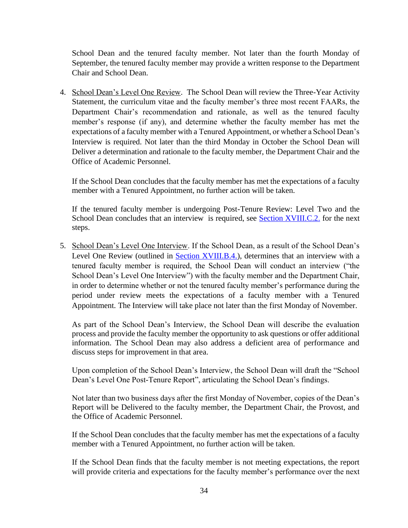School Dean and the tenured faculty member. Not later than the fourth Monday of September, the tenured faculty member may provide a written response to the Department Chair and School Dean.

<span id="page-41-0"></span>4. School Dean's Level One Review. The School Dean will review the Three-Year Activity Statement, the curriculum vitae and the faculty member's three most recent FAARs, the Department Chair's recommendation and rationale, as well as the tenured faculty member's response (if any), and determine whether the faculty member has met the expectations of a faculty member with a Tenured Appointment, or whether a School Dean's Interview is required. Not later than the third Monday in October the School Dean will Deliver a determination and rationale to the faculty member, the Department Chair and the Office of Academic Personnel.

If the School Dean concludes that the faculty member has met the expectations of a faculty member with a Tenured Appointment, no further action will be taken.

If the tenured faculty member is undergoing Post-Tenure Review: Level Two and the School Dean concludes that an interview is required, see [Section XVIII.C.2.](#page-43-3) for the next steps.

<span id="page-41-1"></span>5. School Dean's Level One Interview. If the School Dean, as a result of the School Dean's Level One Review (outlined in **Section XVIII.B.4.**), determines that an interview with a tenured faculty member is required, the School Dean will conduct an interview ("the School Dean's Level One Interview") with the faculty member and the Department Chair, in order to determine whether or not the tenured faculty member's performance during the period under review meets the expectations of a faculty member with a Tenured Appointment. The Interview will take place not later than the first Monday of November.

As part of the School Dean's Interview, the School Dean will describe the evaluation process and provide the faculty member the opportunity to ask questions or offer additional information. The School Dean may also address a deficient area of performance and discuss steps for improvement in that area.

Upon completion of the School Dean's Interview, the School Dean will draft the "School Dean's Level One Post-Tenure Report", articulating the School Dean's findings.

Not later than two business days after the first Monday of November, copies of the Dean's Report will be Delivered to the faculty member, the Department Chair, the Provost, and the Office of Academic Personnel.

If the School Dean concludes that the faculty member has met the expectations of a faculty member with a Tenured Appointment, no further action will be taken.

If the School Dean finds that the faculty member is not meeting expectations, the report will provide criteria and expectations for the faculty member's performance over the next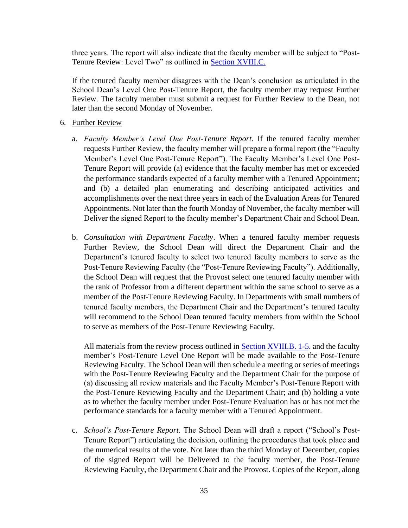three years. The report will also indicate that the faculty member will be subject to "Post-Tenure Review: Level Two" as outlined in [Section XVIII.C.](#page-39-7)

If the tenured faculty member disagrees with the Dean's conclusion as articulated in the School Dean's Level One Post-Tenure Report, the faculty member may request Further Review. The faculty member must submit a request for Further Review to the Dean, not later than the second Monday of November.

- <span id="page-42-2"></span><span id="page-42-1"></span><span id="page-42-0"></span>6. Further Review
	- a. *Faculty Member's Level One Post-Tenure Report*. If the tenured faculty member requests Further Review, the faculty member will prepare a formal report (the "Faculty Member's Level One Post-Tenure Report"). The Faculty Member's Level One Post-Tenure Report will provide (a) evidence that the faculty member has met or exceeded the performance standards expected of a faculty member with a Tenured Appointment; and (b) a detailed plan enumerating and describing anticipated activities and accomplishments over the next three years in each of the Evaluation Areas for Tenured Appointments. Not later than the fourth Monday of November, the faculty member will Deliver the signed Report to the faculty member's Department Chair and School Dean.
	- b. *Consultation with Department Faculty*. When a tenured faculty member requests Further Review, the School Dean will direct the Department Chair and the Department's tenured faculty to select two tenured faculty members to serve as the Post-Tenure Reviewing Faculty (the "Post-Tenure Reviewing Faculty"). Additionally, the School Dean will request that the Provost select one tenured faculty member with the rank of Professor from a different department within the same school to serve as a member of the Post-Tenure Reviewing Faculty. In Departments with small numbers of tenured faculty members, the Department Chair and the Department's tenured faculty will recommend to the School Dean tenured faculty members from within the School to serve as members of the Post-Tenure Reviewing Faculty.

All materials from the review process outlined in [Section XVIII.B. 1-5.](#page-43-3) and the faculty member's Post-Tenure Level One Report will be made available to the Post-Tenure Reviewing Faculty. The School Dean will then schedule a meeting or series of meetings with the Post-Tenure Reviewing Faculty and the Department Chair for the purpose of (a) discussing all review materials and the Faculty Member's Post-Tenure Report with the Post-Tenure Reviewing Faculty and the Department Chair; and (b) holding a vote as to whether the faculty member under Post-Tenure Evaluation has or has not met the performance standards for a faculty member with a Tenured Appointment.

<span id="page-42-3"></span>c. *School's Post-Tenure Report*. The School Dean will draft a report ("School's Post-Tenure Report") articulating the decision, outlining the procedures that took place and the numerical results of the vote. Not later than the third Monday of December, copies of the signed Report will be Delivered to the faculty member, the Post-Tenure Reviewing Faculty, the Department Chair and the Provost. Copies of the Report, along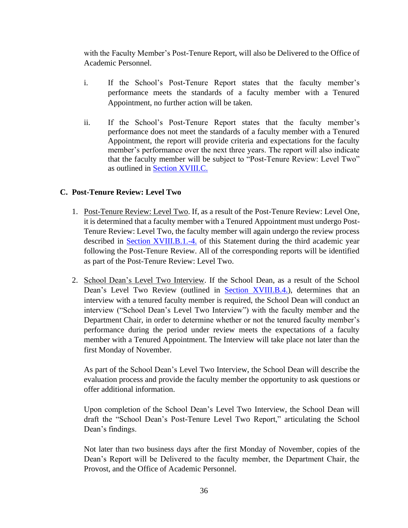with the Faculty Member's Post-Tenure Report, will also be Delivered to the Office of Academic Personnel.

- i. If the School's Post-Tenure Report states that the faculty member's performance meets the standards of a faculty member with a Tenured Appointment, no further action will be taken.
- <span id="page-43-3"></span>ii. If the School's Post-Tenure Report states that the faculty member's performance does not meet the standards of a faculty member with a Tenured Appointment, the report will provide criteria and expectations for the faculty member's performance over the next three years. The report will also indicate that the faculty member will be subject to "Post-Tenure Review: Level Two" as outlined in [Section XVIII.C.](#page-43-3)

## <span id="page-43-1"></span><span id="page-43-0"></span>**C. Post-Tenure Review: Level Two**

- 1. Post-Tenure Review: Level Two. If, as a result of the Post-Tenure Review: Level One, it is determined that a faculty member with a Tenured Appointment must undergo Post-Tenure Review: Level Two, the faculty member will again undergo the review process described in **Section XVIII.B.1.-4.** of this Statement during the third academic year following the Post-Tenure Review. All of the corresponding reports will be identified as part of the Post-Tenure Review: Level Two.
- <span id="page-43-2"></span>2. School Dean's Level Two Interview. If the School Dean, as a result of the School Dean's Level Two Review (outlined in [Section XVIII.B.4.\)](#page-41-0), determines that an interview with a tenured faculty member is required, the School Dean will conduct an interview ("School Dean's Level Two Interview") with the faculty member and the Department Chair, in order to determine whether or not the tenured faculty member's performance during the period under review meets the expectations of a faculty member with a Tenured Appointment. The Interview will take place not later than the first Monday of November.

As part of the School Dean's Level Two Interview, the School Dean will describe the evaluation process and provide the faculty member the opportunity to ask questions or offer additional information.

Upon completion of the School Dean's Level Two Interview, the School Dean will draft the "School Dean's Post-Tenure Level Two Report," articulating the School Dean's findings.

Not later than two business days after the first Monday of November, copies of the Dean's Report will be Delivered to the faculty member, the Department Chair, the Provost, and the Office of Academic Personnel.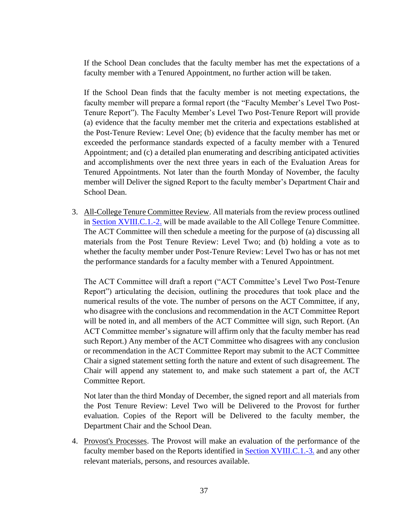If the School Dean concludes that the faculty member has met the expectations of a faculty member with a Tenured Appointment, no further action will be taken.

If the School Dean finds that the faculty member is not meeting expectations, the faculty member will prepare a formal report (the "Faculty Member's Level Two Post-Tenure Report"). The Faculty Member's Level Two Post-Tenure Report will provide (a) evidence that the faculty member met the criteria and expectations established at the Post-Tenure Review: Level One; (b) evidence that the faculty member has met or exceeded the performance standards expected of a faculty member with a Tenured Appointment; and (c) a detailed plan enumerating and describing anticipated activities and accomplishments over the next three years in each of the Evaluation Areas for Tenured Appointments. Not later than the fourth Monday of November, the faculty member will Deliver the signed Report to the faculty member's Department Chair and School Dean.

<span id="page-44-0"></span>3. All-College Tenure Committee Review. All materials from the review process outlined in [Section XVIII.C.1.-2.](#page-43-3) will be made available to the All College Tenure Committee. The ACT Committee will then schedule a meeting for the purpose of (a) discussing all materials from the Post Tenure Review: Level Two; and (b) holding a vote as to whether the faculty member under Post-Tenure Review: Level Two has or has not met the performance standards for a faculty member with a Tenured Appointment.

The ACT Committee will draft a report ("ACT Committee's Level Two Post-Tenure Report") articulating the decision, outlining the procedures that took place and the numerical results of the vote. The number of persons on the ACT Committee, if any, who disagree with the conclusions and recommendation in the ACT Committee Report will be noted in, and all members of the ACT Committee will sign, such Report. (An ACT Committee member's signature will affirm only that the faculty member has read such Report.) Any member of the ACT Committee who disagrees with any conclusion or recommendation in the ACT Committee Report may submit to the ACT Committee Chair a signed statement setting forth the nature and extent of such disagreement. The Chair will append any statement to, and make such statement a part of, the ACT Committee Report.

Not later than the third Monday of December, the signed report and all materials from the Post Tenure Review: Level Two will be Delivered to the Provost for further evaluation. Copies of the Report will be Delivered to the faculty member, the Department Chair and the School Dean.

<span id="page-44-1"></span>4. Provost's Processes. The Provost will make an evaluation of the performance of the faculty member based on the Reports identified in [Section XVIII.C.1.-3.](#page-43-3) and any other relevant materials, persons, and resources available.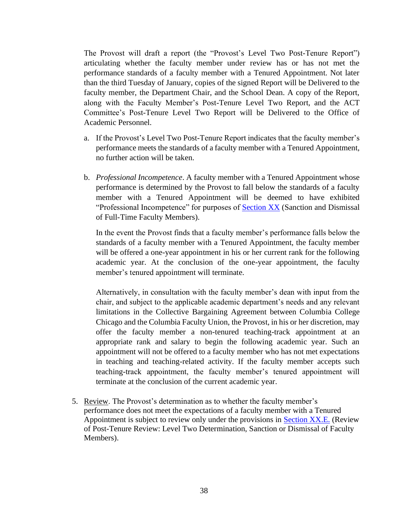The Provost will draft a report (the "Provost's Level Two Post-Tenure Report") articulating whether the faculty member under review has or has not met the performance standards of a faculty member with a Tenured Appointment. Not later than the third Tuesday of January, copies of the signed Report will be Delivered to the faculty member, the Department Chair, and the School Dean. A copy of the Report, along with the Faculty Member's Post-Tenure Level Two Report, and the ACT Committee's Post-Tenure Level Two Report will be Delivered to the Office of Academic Personnel.

- a. If the Provost's Level Two Post-Tenure Report indicates that the faculty member's performance meets the standards of a faculty member with a Tenured Appointment, no further action will be taken.
- b. *Professional Incompetence*. A faculty member with a Tenured Appointment whose performance is determined by the Provost to fall below the standards of a faculty member with a Tenured Appointment will be deemed to have exhibited "Professional Incompetence" for purposes of **Section XX** (Sanction and Dismissal of Full-Time Faculty Members).

In the event the Provost finds that a faculty member's performance falls below the standards of a faculty member with a Tenured Appointment, the faculty member will be offered a one-year appointment in his or her current rank for the following academic year. At the conclusion of the one-year appointment, the faculty member's tenured appointment will terminate.

Alternatively, in consultation with the faculty member's dean with input from the chair, and subject to the applicable academic department's needs and any relevant limitations in the Collective Bargaining Agreement between Columbia College Chicago and the Columbia Faculty Union, the Provost, in his or her discretion, may offer the faculty member a non-tenured teaching-track appointment at an appropriate rank and salary to begin the following academic year. Such an appointment will not be offered to a faculty member who has not met expectations in teaching and teaching-related activity. If the faculty member accepts such teaching-track appointment, the faculty member's tenured appointment will terminate at the conclusion of the current academic year.

<span id="page-45-0"></span>5. Review. The Provost's determination as to whether the faculty member's performance does not meet the expectations of a faculty member with a Tenured Appointment is subject to review only under the provisions in [Section XX.](#page-46-0)E. (Review of Post-Tenure Review: Level Two Determination, Sanction or Dismissal of Faculty Members).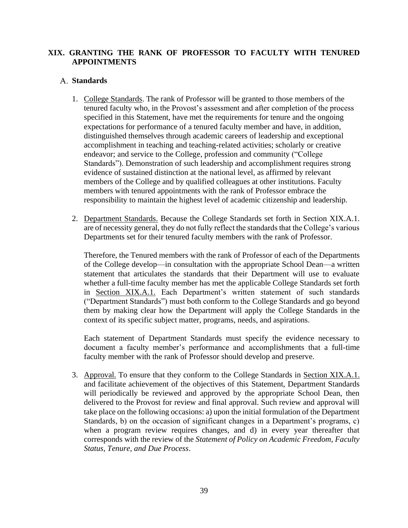## <span id="page-46-0"></span>**XIX. GRANTING THE RANK OF PROFESSOR TO FACULTY WITH TENURED APPOINTMENTS**

#### <span id="page-46-2"></span><span id="page-46-1"></span>**Standards**

- 1. College Standards. The rank of Professor will be granted to those members of the tenured faculty who, in the Provost's assessment and after completion of the process specified in this Statement, have met the requirements for tenure and the ongoing expectations for performance of a tenured faculty member and have, in addition, distinguished themselves through academic careers of leadership and exceptional accomplishment in teaching and teaching-related activities; scholarly or creative endeavor; and service to the College, profession and community ("College Standards"). Demonstration of such leadership and accomplishment requires strong evidence of sustained distinction at the national level, as affirmed by relevant members of the College and by qualified colleagues at other institutions. Faculty members with tenured appointments with the rank of Professor embrace the responsibility to maintain the highest level of academic citizenship and leadership.
- <span id="page-46-3"></span>2. Department Standards. Because the College Standards set forth in Section XIX.A.1. are of necessity general, they do not fully reflect the standards that the College's various Departments set for their tenured faculty members with the rank of Professor.

Therefore, the Tenured members with the rank of Professor of each of the Departments of the College develop—in consultation with the appropriate School Dean—a written statement that articulates the standards that their Department will use to evaluate whether a full-time faculty member has met the applicable College Standards set forth in [Section](#page-13-0) XIX.A.1. Each Department's written statement of such standards ("Department Standards") must both conform to the College Standards and go beyond them by making clear how the Department will apply the College Standards in the context of its specific subject matter, programs, needs, and aspirations.

Each statement of Department Standards must specify the evidence necessary to document a faculty member's performance and accomplishments that a full-time faculty member with the rank of Professor should develop and preserve.

<span id="page-46-4"></span>3. Approval. To ensure that they conform to the College Standards in [Section](#page-13-0) XIX.A.1. and facilitate achievement of the objectives of this Statement, Department Standards will periodically be reviewed and approved by the appropriate School Dean, then delivered to the Provost for review and final approval. Such review and approval will take place on the following occasions: a) upon the initial formulation of the Department Standards, b) on the occasion of significant changes in a Department's programs, c) when a program review requires changes, and d) in every year thereafter that corresponds with the review of the *Statement of Policy on Academic Freedom, Faculty Status, Tenure, and Due Process*.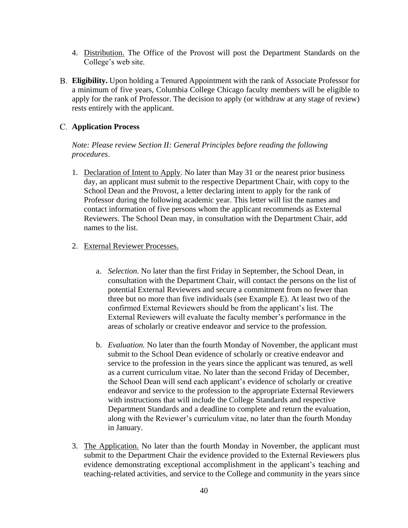- <span id="page-47-0"></span>4. Distribution. The Office of the Provost will post the Department Standards on the College's web site.
- <span id="page-47-1"></span>**Eligibility.** Upon holding a Tenured Appointment with the rank of Associate Professor for a minimum of five years, Columbia College Chicago faculty members will be eligible to apply for the rank of Professor. The decision to apply (or withdraw at any stage of review) rests entirely with the applicant.

## <span id="page-47-2"></span>**Application Process**

*Note: Please review Section II: General Principles before reading the following procedures*.

<span id="page-47-3"></span>1. Declaration of Intent to Apply. No later than May 31 or the nearest prior business day, an applicant must submit to the respective Department Chair, with copy to the School Dean and the Provost, a letter declaring intent to apply for the rank of Professor during the following academic year. This letter will list the names and contact information of five persons whom the applicant recommends as External Reviewers. The School Dean may, in consultation with the Department Chair, add names to the list.

#### <span id="page-47-5"></span><span id="page-47-4"></span>2. External Reviewer Processes.

- a. *Selection.* No later than the first Friday in September, the School Dean, in consultation with the Department Chair, will contact the persons on the list of potential External Reviewers and secure a commitment from no fewer than three but no more than five individuals (see Example E). At least two of the confirmed External Reviewers should be from the applicant's list. The External Reviewers will evaluate the faculty member's performance in the areas of scholarly or creative endeavor and service to the profession.
- <span id="page-47-6"></span>b. *Evaluation.* No later than the fourth Monday of November, the applicant must submit to the School Dean evidence of scholarly or creative endeavor and service to the profession in the years since the applicant was tenured, as well as a current curriculum vitae. No later than the second Friday of December, the School Dean will send each applicant's evidence of scholarly or creative endeavor and service to the profession to the appropriate External Reviewers with instructions that will include the College Standards and respective Department Standards and a deadline to complete and return the evaluation, along with the Reviewer's curriculum vitae, no later than the fourth Monday in January.
- <span id="page-47-7"></span>3. The Application. No later than the fourth Monday in November, the applicant must submit to the Department Chair the evidence provided to the External Reviewers plus evidence demonstrating exceptional accomplishment in the applicant's teaching and teaching-related activities, and service to the College and community in the years since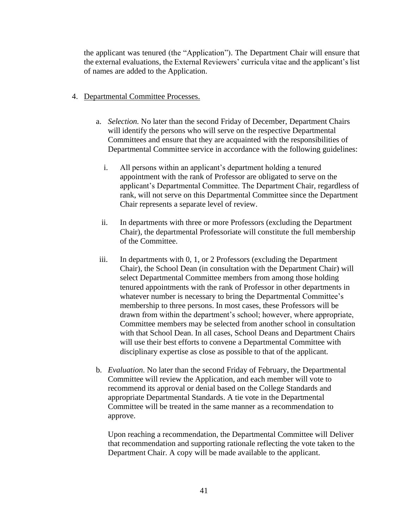the applicant was tenured (the "Application"). The Department Chair will ensure that the external evaluations, the External Reviewers' curricula vitae and the applicant's list of names are added to the Application.

- <span id="page-48-1"></span><span id="page-48-0"></span>4. Departmental Committee Processes.
	- a. *Selection.* No later than the second Friday of December, Department Chairs will identify the persons who will serve on the respective Departmental Committees and ensure that they are acquainted with the responsibilities of Departmental Committee service in accordance with the following guidelines:
		- i. All persons within an applicant's department holding a tenured appointment with the rank of Professor are obligated to serve on the applicant's Departmental Committee. The Department Chair, regardless of rank, will not serve on this Departmental Committee since the Department Chair represents a separate level of review.
		- ii. In departments with three or more Professors (excluding the Department Chair), the departmental Professoriate will constitute the full membership of the Committee.
	- iii. In departments with 0, 1, or 2 Professors (excluding the Department Chair), the School Dean (in consultation with the Department Chair) will select Departmental Committee members from among those holding tenured appointments with the rank of Professor in other departments in whatever number is necessary to bring the Departmental Committee's membership to three persons. In most cases, these Professors will be drawn from within the department's school; however, where appropriate, Committee members may be selected from another school in consultation with that School Dean. In all cases, School Deans and Department Chairs will use their best efforts to convene a Departmental Committee with disciplinary expertise as close as possible to that of the applicant.
	- b. *Evaluation*. No later than the second Friday of February, the Departmental Committee will review the Application, and each member will vote to recommend its approval or denial based on the College Standards and appropriate Departmental Standards. A tie vote in the Departmental Committee will be treated in the same manner as a recommendation to approve.

<span id="page-48-2"></span>Upon reaching a recommendation, the Departmental Committee will Deliver that recommendation and supporting rationale reflecting the vote taken to the Department Chair. A copy will be made available to the applicant.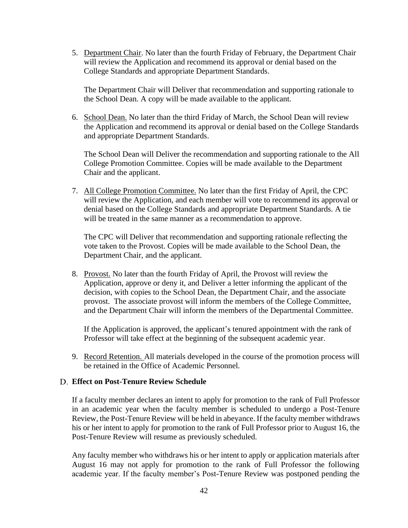<span id="page-49-0"></span>5. Department Chair. No later than the fourth Friday of February, the Department Chair will review the Application and recommend its approval or denial based on the College Standards and appropriate Department Standards.

The Department Chair will Deliver that recommendation and supporting rationale to the School Dean. A copy will be made available to the applicant.

<span id="page-49-1"></span>6. School Dean. No later than the third Friday of March, the School Dean will review the Application and recommend its approval or denial based on the College Standards and appropriate Department Standards.

The School Dean will Deliver the recommendation and supporting rationale to the All College Promotion Committee. Copies will be made available to the Department Chair and the applicant.

<span id="page-49-2"></span>7. All College Promotion Committee. No later than the first Friday of April, the CPC will review the Application, and each member will vote to recommend its approval or denial based on the College Standards and appropriate Department Standards. A tie will be treated in the same manner as a recommendation to approve.

The CPC will Deliver that recommendation and supporting rationale reflecting the vote taken to the Provost. Copies will be made available to the School Dean, the Department Chair, and the applicant.

<span id="page-49-3"></span>8. Provost. No later than the fourth Friday of April, the Provost will review the Application, approve or deny it, and Deliver a letter informing the applicant of the decision, with copies to the School Dean, the Department Chair, and the associate provost. The associate provost will inform the members of the College Committee, and the Department Chair will inform the members of the Departmental Committee.

If the Application is approved, the applicant's tenured appointment with the rank of Professor will take effect at the beginning of the subsequent academic year.

<span id="page-49-4"></span>9. Record Retention. All materials developed in the course of the promotion process will be retained in the Office of Academic Personnel.

#### <span id="page-49-5"></span>**Effect on Post-Tenure Review Schedule**

If a faculty member declares an intent to apply for promotion to the rank of Full Professor in an academic year when the faculty member is scheduled to undergo a Post-Tenure Review, the Post-Tenure Review will be held in abeyance. If the faculty member withdraws his or her intent to apply for promotion to the rank of Full Professor prior to August 16, the Post-Tenure Review will resume as previously scheduled.

Any faculty member who withdraws his or her intent to apply or application materials after August 16 may not apply for promotion to the rank of Full Professor the following academic year. If the faculty member's Post-Tenure Review was postponed pending the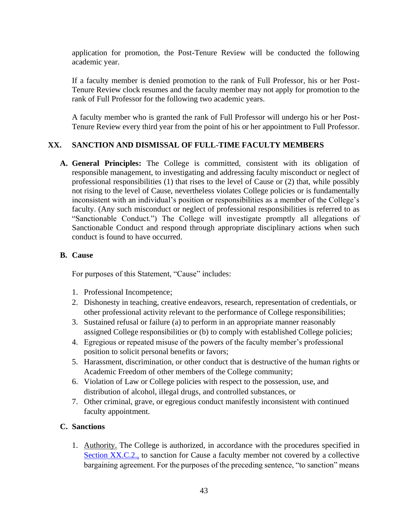application for promotion, the Post-Tenure Review will be conducted the following academic year.

If a faculty member is denied promotion to the rank of Full Professor, his or her Post-Tenure Review clock resumes and the faculty member may not apply for promotion to the rank of Full Professor for the following two academic years.

A faculty member who is granted the rank of Full Professor will undergo his or her Post-Tenure Review every third year from the point of his or her appointment to Full Professor.

# <span id="page-50-0"></span>**XX. SANCTION AND DISMISSAL OF FULL-TIME FACULTY MEMBERS**

<span id="page-50-1"></span>**A. General Principles:** The College is committed, consistent with its obligation of responsible management, to investigating and addressing faculty misconduct or neglect of professional responsibilities (1) that rises to the level of Cause or (2) that, while possibly not rising to the level of Cause, nevertheless violates College policies or is fundamentally inconsistent with an individual's position or responsibilities as a member of the College's faculty. (Any such misconduct or neglect of professional responsibilities is referred to as "Sanctionable Conduct.") The College will investigate promptly all allegations of Sanctionable Conduct and respond through appropriate disciplinary actions when such conduct is found to have occurred.

## <span id="page-50-2"></span>**B. Cause**

For purposes of this Statement, "Cause" includes:

- 1. Professional Incompetence;
- 2. Dishonesty in teaching, creative endeavors, research, representation of credentials, or other professional activity relevant to the performance of College responsibilities;
- 3. Sustained refusal or failure (a) to perform in an appropriate manner reasonably assigned College responsibilities or (b) to comply with established College policies;
- 4. Egregious or repeated misuse of the powers of the faculty member's professional position to solicit personal benefits or favors;
- 5. Harassment, discrimination, or other conduct that is destructive of the human rights or Academic Freedom of other members of the College community;
- 6. Violation of Law or College policies with respect to the possession, use, and distribution of alcohol, illegal drugs, and controlled substances, or
- 7. Other criminal, grave, or egregious conduct manifestly inconsistent with continued faculty appointment.

## <span id="page-50-4"></span><span id="page-50-3"></span>**C. Sanctions**

1. Authority. The College is authorized, in accordance with the procedures specified in Section XX.C.2., to sanction for Cause a faculty member not covered by a collective bargaining agreement. For the purposes of the preceding sentence, "to sanction" means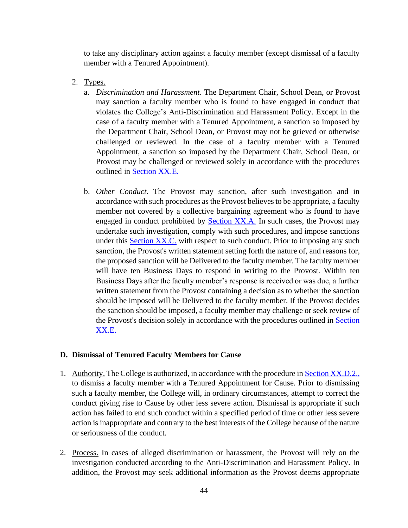to take any disciplinary action against a faculty member (except dismissal of a faculty member with a Tenured Appointment).

- <span id="page-51-2"></span><span id="page-51-1"></span><span id="page-51-0"></span>2. Types.
	- a. *Discrimination and Harassment*. The Department Chair, School Dean, or Provost may sanction a faculty member who is found to have engaged in conduct that violates the College's Anti-Discrimination and Harassment Policy. Except in the case of a faculty member with a Tenured Appointment, a sanction so imposed by the Department Chair, School Dean, or Provost may not be grieved or otherwise challenged or reviewed. In the case of a faculty member with a Tenured Appointment, a sanction so imposed by the Department Chair, School Dean, or Provost may be challenged or reviewed solely in accordance with the procedures outlined in Section XX.E.
	- b. *Other Conduct*. The Provost may sanction, after such investigation and in accordance with such procedures as the Provost believes to be appropriate, a faculty member not covered by a collective bargaining agreement who is found to have engaged in conduct prohibited by [Section XX.A.](#page-50-1) In such cases, the Provost may undertake such investigation, comply with such procedures, and impose sanctions under this **Section XX.C**, with respect to such conduct. Prior to imposing any such sanction, the Provost's written statement setting forth the nature of, and reasons for, the proposed sanction will be Delivered to the faculty member. The faculty member will have ten Business Days to respond in writing to the Provost. Within ten Business Days after the faculty member's response is received or was due, a further written statement from the Provost containing a decision as to whether the sanction should be imposed will be Delivered to the faculty member. If the Provost decides the sanction should be imposed, a faculty member may challenge or seek review of the Provost's decision solely in accordance with the procedures outlined in Section XX.E.

#### <span id="page-51-6"></span><span id="page-51-3"></span>**D. Dismissal of Tenured Faculty Members for Cause**

- <span id="page-51-4"></span>1. Authority. The College is authorized, in accordance with the procedure in Section XX.D.2., to dismiss a faculty member with a Tenured Appointment for Cause. Prior to dismissing such a faculty member, the College will, in ordinary circumstances, attempt to correct the conduct giving rise to Cause by other less severe action. Dismissal is appropriate if such action has failed to end such conduct within a specified period of time or other less severe action is inappropriate and contrary to the best interests of the College because of the nature or seriousness of the conduct.
- <span id="page-51-5"></span>2. Process. In cases of alleged discrimination or harassment, the Provost will rely on the investigation conducted according to the Anti-Discrimination and Harassment Policy. In addition, the Provost may seek additional information as the Provost deems appropriate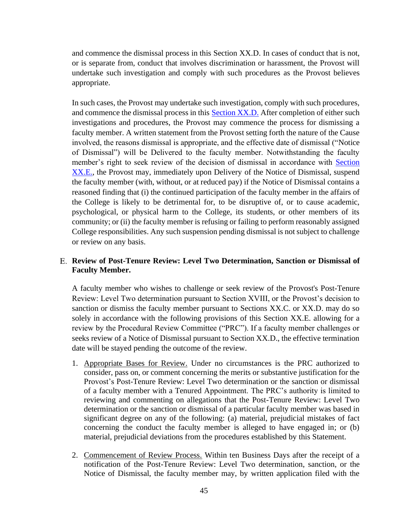and commence the dismissal process in this [Section XX.D.](#page-51-6) In cases of conduct that is not, or is separate from, conduct that involves discrimination or harassment, the Provost will undertake such investigation and comply with such procedures as the Provost believes appropriate.

In such cases, the Provost may undertake such investigation, comply with such procedures, and commence the dismissal process in this [Section XX.D.](#page-51-6) After completion of either such investigations and procedures, the Provost may commence the process for dismissing a faculty member. A written statement from the Provost setting forth the nature of the Cause involved, the reasons dismissal is appropriate, and the effective date of dismissal ("Notice of Dismissal") will be Delivered to the faculty member. Notwithstanding the faculty member's right to seek review of the decision of dismissal in accordance with Section XX.E., the Provost may, immediately upon Delivery of the Notice of Dismissal, suspend the faculty member (with, without, or at reduced pay) if the Notice of Dismissal contains a reasoned finding that (i) the continued participation of the faculty member in the affairs of the College is likely to be detrimental for, to be disruptive of, or to cause academic, psychological, or physical harm to the College, its students, or other members of its community; or (ii) the faculty member is refusing or failing to perform reasonably assigned College responsibilities. Any such suspension pending dismissal is not subject to challenge or review on any basis.

#### <span id="page-52-0"></span>**Review of Post-Tenure Review: Level Two Determination, Sanction or Dismissal of Faculty Member.**

A faculty member who wishes to challenge or seek review of the Provost's Post-Tenure Review: Level Two determination pursuant to Section XVIII, or the Provost's decision to sanction or dismiss the faculty member pursuant to Sections XX.C. or XX.D. may do so solely in accordance with the following provisions of this Section XX.E. allowing for a review by the Procedural Review Committee ("PRC"). If a faculty member challenges or seeks review of a Notice of Dismissal pursuant to Section XX.D., the effective termination date will be stayed pending the outcome of the review.

- <span id="page-52-1"></span>1. Appropriate Bases for Review. Under no circumstances is the PRC authorized to consider, pass on, or comment concerning the merits or substantive justification for the Provost's Post-Tenure Review: Level Two determination or the sanction or dismissal of a faculty member with a Tenured Appointment. The PRC's authority is limited to reviewing and commenting on allegations that the Post-Tenure Review: Level Two determination or the sanction or dismissal of a particular faculty member was based in significant degree on any of the following: (a) material, prejudicial mistakes of fact concerning the conduct the faculty member is alleged to have engaged in; or (b) material, prejudicial deviations from the procedures established by this Statement.
- <span id="page-52-2"></span>2. Commencement of Review Process. Within ten Business Days after the receipt of a notification of the Post-Tenure Review: Level Two determination, sanction, or the Notice of Dismissal, the faculty member may, by written application filed with the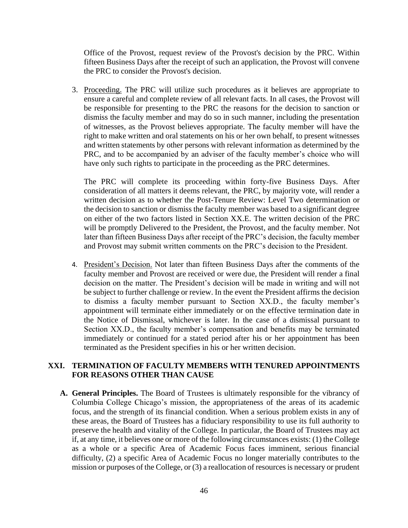Office of the Provost, request review of the Provost's decision by the PRC. Within fifteen Business Days after the receipt of such an application, the Provost will convene the PRC to consider the Provost's decision.

<span id="page-53-0"></span>3. Proceeding. The PRC will utilize such procedures as it believes are appropriate to ensure a careful and complete review of all relevant facts. In all cases, the Provost will be responsible for presenting to the PRC the reasons for the decision to sanction or dismiss the faculty member and may do so in such manner, including the presentation of witnesses, as the Provost believes appropriate. The faculty member will have the right to make written and oral statements on his or her own behalf, to present witnesses and written statements by other persons with relevant information as determined by the PRC, and to be accompanied by an adviser of the faculty member's choice who will have only such rights to participate in the proceeding as the PRC determines.

The PRC will complete its proceeding within forty-five Business Days. After consideration of all matters it deems relevant, the PRC, by majority vote, will render a written decision as to whether the Post-Tenure Review: Level Two determination or the decision to sanction or dismiss the faculty member was based to a significant degree on either of the two factors listed in Section XX.E. The written decision of the PRC will be promptly Delivered to the President, the Provost, and the faculty member. Not later than fifteen Business Days after receipt of the PRC's decision, the faculty member and Provost may submit written comments on the PRC's decision to the President.

<span id="page-53-1"></span>4. President's Decision. Not later than fifteen Business Days after the comments of the faculty member and Provost are received or were due, the President will render a final decision on the matter. The President's decision will be made in writing and will not be subject to further challenge or review. In the event the President affirms the decision to dismiss a faculty member pursuant to Section XX.D., the faculty member's appointment will terminate either immediately or on the effective termination date in the Notice of Dismissal, whichever is later. In the case of a dismissal pursuant to Section XX.D., the faculty member's compensation and benefits may be terminated immediately or continued for a stated period after his or her appointment has been terminated as the President specifies in his or her written decision.

#### <span id="page-53-2"></span>**XXI. TERMINATION OF FACULTY MEMBERS WITH TENURED APPOINTMENTS FOR REASONS OTHER THAN CAUSE**

<span id="page-53-3"></span>**A. General Principles.** The Board of Trustees is ultimately responsible for the vibrancy of Columbia College Chicago's mission, the appropriateness of the areas of its academic focus, and the strength of its financial condition. When a serious problem exists in any of these areas, the Board of Trustees has a fiduciary responsibility to use its full authority to preserve the health and vitality of the College. In particular, the Board of Trustees may act if, at any time, it believes one or more of the following circumstances exists: (1) the College as a whole or a specific Area of Academic Focus faces imminent, serious financial difficulty, (2) a specific Area of Academic Focus no longer materially contributes to the mission or purposes of the College, or (3) a reallocation of resources is necessary or prudent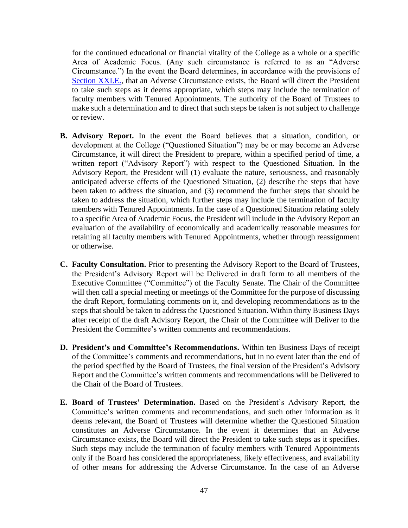for the continued educational or financial vitality of the College as a whole or a specific Area of Academic Focus. (Any such circumstance is referred to as an "Adverse Circumstance.") In the event the Board determines, in accordance with the provisions of [Section XXI.E.,](#page-54-3) that an Adverse Circumstance exists, the Board will direct the President to take such steps as it deems appropriate, which steps may include the termination of faculty members with Tenured Appointments. The authority of the Board of Trustees to make such a determination and to direct that such steps be taken is not subject to challenge or review.

- <span id="page-54-0"></span>**B. Advisory Report.** In the event the Board believes that a situation, condition, or development at the College ("Questioned Situation") may be or may become an Adverse Circumstance, it will direct the President to prepare, within a specified period of time, a written report ("Advisory Report") with respect to the Questioned Situation. In the Advisory Report, the President will (1) evaluate the nature, seriousness, and reasonably anticipated adverse effects of the Questioned Situation, (2) describe the steps that have been taken to address the situation, and (3) recommend the further steps that should be taken to address the situation, which further steps may include the termination of faculty members with Tenured Appointments. In the case of a Questioned Situation relating solely to a specific Area of Academic Focus, the President will include in the Advisory Report an evaluation of the availability of economically and academically reasonable measures for retaining all faculty members with Tenured Appointments, whether through reassignment or otherwise.
- <span id="page-54-1"></span>**C. Faculty Consultation.** Prior to presenting the Advisory Report to the Board of Trustees, the President's Advisory Report will be Delivered in draft form to all members of the Executive Committee ("Committee") of the Faculty Senate. The Chair of the Committee will then call a special meeting or meetings of the Committee for the purpose of discussing the draft Report, formulating comments on it, and developing recommendations as to the steps that should be taken to address the Questioned Situation. Within thirty Business Days after receipt of the draft Advisory Report, the Chair of the Committee will Deliver to the President the Committee's written comments and recommendations.
- <span id="page-54-2"></span>**D. President's and Committee's Recommendations.** Within ten Business Days of receipt of the Committee's comments and recommendations, but in no event later than the end of the period specified by the Board of Trustees, the final version of the President's Advisory Report and the Committee's written comments and recommendations will be Delivered to the Chair of the Board of Trustees.
- <span id="page-54-3"></span>**E. Board of Trustees' Determination.** Based on the President's Advisory Report, the Committee's written comments and recommendations, and such other information as it deems relevant, the Board of Trustees will determine whether the Questioned Situation constitutes an Adverse Circumstance. In the event it determines that an Adverse Circumstance exists, the Board will direct the President to take such steps as it specifies. Such steps may include the termination of faculty members with Tenured Appointments only if the Board has considered the appropriateness, likely effectiveness, and availability of other means for addressing the Adverse Circumstance. In the case of an Adverse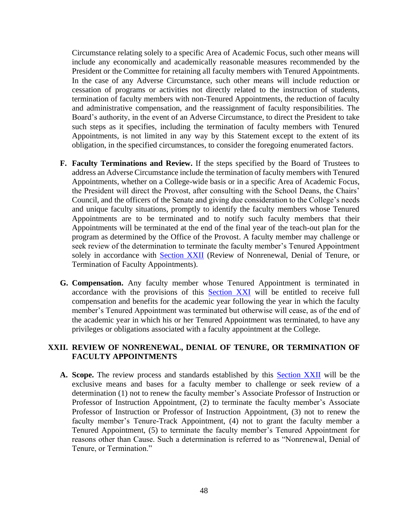Circumstance relating solely to a specific Area of Academic Focus, such other means will include any economically and academically reasonable measures recommended by the President or the Committee for retaining all faculty members with Tenured Appointments. In the case of any Adverse Circumstance, such other means will include reduction or cessation of programs or activities not directly related to the instruction of students, termination of faculty members with non-Tenured Appointments, the reduction of faculty and administrative compensation, and the reassignment of faculty responsibilities. The Board's authority, in the event of an Adverse Circumstance, to direct the President to take such steps as it specifies, including the termination of faculty members with Tenured Appointments, is not limited in any way by this Statement except to the extent of its obligation, in the specified circumstances, to consider the foregoing enumerated factors.

- <span id="page-55-0"></span>**F. Faculty Terminations and Review.** If the steps specified by the Board of Trustees to address an Adverse Circumstance include the termination of faculty members with Tenured Appointments, whether on a College-wide basis or in a specific Area of Academic Focus, the President will direct the Provost, after consulting with the School Deans, the Chairs' Council, and the officers of the Senate and giving due consideration to the College's needs and unique faculty situations, promptly to identify the faculty members whose Tenured Appointments are to be terminated and to notify such faculty members that their Appointments will be terminated at the end of the final year of the teach-out plan for the program as determined by the Office of the Provost. A faculty member may challenge or seek review of the determination to terminate the faculty member's Tenured Appointment solely in accordance with **[Section XXII](#page-55-2)** (Review of Nonrenewal, Denial of Tenure, or Termination of Faculty Appointments).
- <span id="page-55-1"></span>**G. Compensation.** Any faculty member whose Tenured Appointment is terminated in accordance with the provisions of this [Section XXI](#page-53-2) will be entitled to receive full compensation and benefits for the academic year following the year in which the faculty member's Tenured Appointment was terminated but otherwise will cease, as of the end of the academic year in which his or her Tenured Appointment was terminated, to have any privileges or obligations associated with a faculty appointment at the College.

#### <span id="page-55-4"></span><span id="page-55-2"></span>**XXII. REVIEW OF NONRENEWAL, DENIAL OF TENURE, OR TERMINATION OF FACULTY APPOINTMENTS**

<span id="page-55-3"></span>A. Scope. The review process and standards established by this [Section XXII](#page-55-4) will be the exclusive means and bases for a faculty member to challenge or seek review of a determination (1) not to renew the faculty member's Associate Professor of Instruction or Professor of Instruction Appointment, (2) to terminate the faculty member's Associate Professor of Instruction or Professor of Instruction Appointment, (3) not to renew the faculty member's Tenure-Track Appointment, (4) not to grant the faculty member a Tenured Appointment, (5) to terminate the faculty member's Tenured Appointment for reasons other than Cause. Such a determination is referred to as "Nonrenewal, Denial of Tenure, or Termination."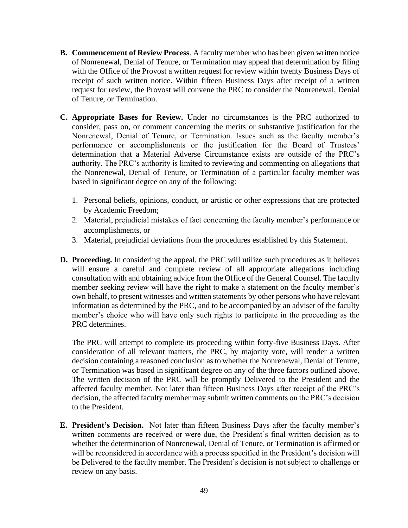- <span id="page-56-0"></span>**B. Commencement of Review Process**. A faculty member who has been given written notice of Nonrenewal, Denial of Tenure, or Termination may appeal that determination by filing with the Office of the Provost a written request for review within twenty Business Days of receipt of such written notice. Within fifteen Business Days after receipt of a written request for review, the Provost will convene the PRC to consider the Nonrenewal, Denial of Tenure, or Termination.
- <span id="page-56-1"></span>**C. Appropriate Bases for Review.** Under no circumstances is the PRC authorized to consider, pass on, or comment concerning the merits or substantive justification for the Nonrenewal, Denial of Tenure, or Termination. Issues such as the faculty member's performance or accomplishments or the justification for the Board of Trustees' determination that a Material Adverse Circumstance exists are outside of the PRC's authority. The PRC's authority is limited to reviewing and commenting on allegations that the Nonrenewal, Denial of Tenure, or Termination of a particular faculty member was based in significant degree on any of the following:
	- 1. Personal beliefs, opinions, conduct, or artistic or other expressions that are protected by Academic Freedom;
	- 2. Material, prejudicial mistakes of fact concerning the faculty member's performance or accomplishments, or
	- 3. Material, prejudicial deviations from the procedures established by this Statement.
- <span id="page-56-2"></span>**D. Proceeding.** In considering the appeal, the PRC will utilize such procedures as it believes will ensure a careful and complete review of all appropriate allegations including consultation with and obtaining advice from the Office of the General Counsel. The faculty member seeking review will have the right to make a statement on the faculty member's own behalf, to present witnesses and written statements by other persons who have relevant information as determined by the PRC, and to be accompanied by an adviser of the faculty member's choice who will have only such rights to participate in the proceeding as the PRC determines.

The PRC will attempt to complete its proceeding within forty-five Business Days. After consideration of all relevant matters, the PRC, by majority vote, will render a written decision containing a reasoned conclusion as to whether the Nonrenewal, Denial of Tenure, or Termination was based in significant degree on any of the three factors outlined above. The written decision of the PRC will be promptly Delivered to the President and the affected faculty member. Not later than fifteen Business Days after receipt of the PRC's decision, the affected faculty member may submit written comments on the PRC's decision to the President.

<span id="page-56-3"></span>**E. President's Decision.** Not later than fifteen Business Days after the faculty member's written comments are received or were due, the President's final written decision as to whether the determination of Nonrenewal, Denial of Tenure, or Termination is affirmed or will be reconsidered in accordance with a process specified in the President's decision will be Delivered to the faculty member. The President's decision is not subject to challenge or review on any basis.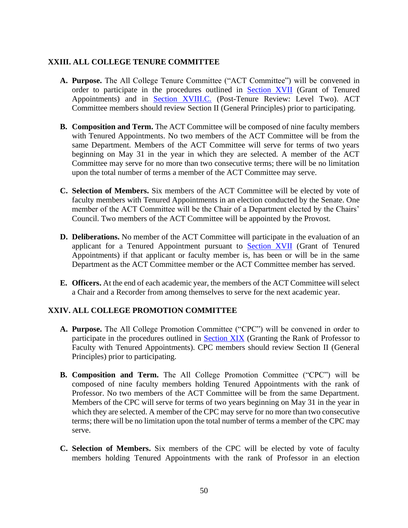## <span id="page-57-0"></span>**XXIII. ALL COLLEGE TENURE COMMITTEE**

- <span id="page-57-1"></span>**A. Purpose.** The All College Tenure Committee ("ACT Committee") will be convened in order to participate in the procedures outlined in [Section XVII](#page-33-5) (Grant of Tenured Appointments) and in [Section XVIII.C.](#page-43-3) (Post-Tenure Review: Level Two). ACT Committee members should review Section II (General Principles) prior to participating.
- <span id="page-57-2"></span>**B. Composition and Term.** The ACT Committee will be composed of nine faculty members with Tenured Appointments. No two members of the ACT Committee will be from the same Department. Members of the ACT Committee will serve for terms of two years beginning on May 31 in the year in which they are selected. A member of the ACT Committee may serve for no more than two consecutive terms; there will be no limitation upon the total number of terms a member of the ACT Committee may serve.
- <span id="page-57-3"></span>**C. Selection of Members.** Six members of the ACT Committee will be elected by vote of faculty members with Tenured Appointments in an election conducted by the Senate. One member of the ACT Committee will be the Chair of a Department elected by the Chairs' Council. Two members of the ACT Committee will be appointed by the Provost.
- <span id="page-57-4"></span>**D. Deliberations.** No member of the ACT Committee will participate in the evaluation of an applicant for a Tenured Appointment pursuant to [Section XVII](#page-33-1) (Grant of Tenured Appointments) if that applicant or faculty member is, has been or will be in the same Department as the ACT Committee member or the ACT Committee member has served.
- <span id="page-57-5"></span>**E. Officers.** At the end of each academic year, the members of the ACT Committee will select a Chair and a Recorder from among themselves to serve for the next academic year.

## <span id="page-57-6"></span>**XXIV. ALL COLLEGE PROMOTION COMMITTEE**

- <span id="page-57-7"></span>**A. Purpose.** The All College Promotion Committee ("CPC") will be convened in order to participate in the procedures outlined in Section XIX (Granting the Rank of Professor to Faculty with Tenured Appointments). CPC members should review Section II (General Principles) prior to participating.
- <span id="page-57-8"></span>**B. Composition and Term.** The All College Promotion Committee ("CPC") will be composed of nine faculty members holding Tenured Appointments with the rank of Professor. No two members of the ACT Committee will be from the same Department. Members of the CPC will serve for terms of two years beginning on May 31 in the year in which they are selected. A member of the CPC may serve for no more than two consecutive terms; there will be no limitation upon the total number of terms a member of the CPC may serve.
- <span id="page-57-9"></span>**C. Selection of Members.** Six members of the CPC will be elected by vote of faculty members holding Tenured Appointments with the rank of Professor in an election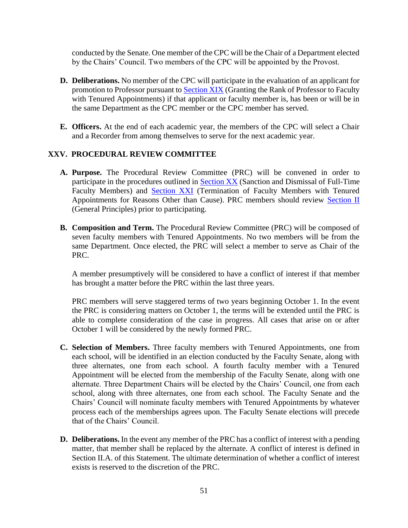conducted by the Senate. One member of the CPC will be the Chair of a Department elected by the Chairs' Council. Two members of the CPC will be appointed by the Provost.

- <span id="page-58-0"></span>**D. Deliberations.** No member of the CPC will participate in the evaluation of an applicant for promotion to Professor pursuant to **Section XIX** (Granting the Rank of Professor to Faculty with Tenured Appointments) if that applicant or faculty member is, has been or will be in the same Department as the CPC member or the CPC member has served.
- <span id="page-58-1"></span>**E. Officers.** At the end of each academic year, the members of the CPC will select a Chair and a Recorder from among themselves to serve for the next academic year.

## <span id="page-58-2"></span>**XXV. PROCEDURAL REVIEW COMMITTEE**

- <span id="page-58-3"></span>**A. Purpose.** The Procedural Review Committee (PRC) will be convened in order to participate in the procedures outlined in **Section XX** (Sanction and Dismissal of Full-Time Faculty Members) and [Section XXI](#page-53-2) (Termination of Faculty Members with Tenured Appointments for Reasons Other than Cause). PRC members should review [Section II](#page-9-3) (General Principles) prior to participating.
- <span id="page-58-4"></span>**B. Composition and Term.** The Procedural Review Committee (PRC) will be composed of seven faculty members with Tenured Appointments. No two members will be from the same Department. Once elected, the PRC will select a member to serve as Chair of the PRC.

A member presumptively will be considered to have a conflict of interest if that member has brought a matter before the PRC within the last three years.

PRC members will serve staggered terms of two years beginning October 1. In the event the PRC is considering matters on October 1, the terms will be extended until the PRC is able to complete consideration of the case in progress. All cases that arise on or after October 1 will be considered by the newly formed PRC.

- <span id="page-58-5"></span>**C. Selection of Members.** Three faculty members with Tenured Appointments, one from each school, will be identified in an election conducted by the Faculty Senate, along with three alternates, one from each school. A fourth faculty member with a Tenured Appointment will be elected from the membership of the Faculty Senate, along with one alternate. Three Department Chairs will be elected by the Chairs' Council, one from each school, along with three alternates, one from each school. The Faculty Senate and the Chairs' Council will nominate faculty members with Tenured Appointments by whatever process each of the memberships agrees upon. The Faculty Senate elections will precede that of the Chairs' Council.
- <span id="page-58-6"></span>**D. Deliberations.** In the event any member of the PRC has a conflict of interest with a pending matter, that member shall be replaced by the alternate. A conflict of interest is defined in Section II.A. of this Statement. The ultimate determination of whether a conflict of interest exists is reserved to the discretion of the PRC.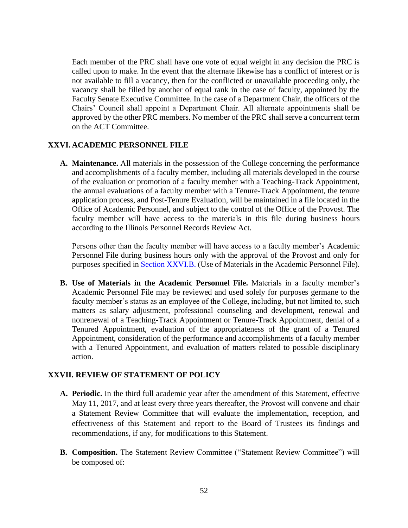Each member of the PRC shall have one vote of equal weight in any decision the PRC is called upon to make. In the event that the alternate likewise has a conflict of interest or is not available to fill a vacancy, then for the conflicted or unavailable proceeding only, the vacancy shall be filled by another of equal rank in the case of faculty, appointed by the Faculty Senate Executive Committee. In the case of a Department Chair, the officers of the Chairs' Council shall appoint a Department Chair. All alternate appointments shall be approved by the other PRC members. No member of the PRC shall serve a concurrent term on the ACT Committee.

#### <span id="page-59-0"></span>**XXVI. ACADEMIC PERSONNEL FILE**

<span id="page-59-1"></span>**A. Maintenance.** All materials in the possession of the College concerning the performance and accomplishments of a faculty member, including all materials developed in the course of the evaluation or promotion of a faculty member with a Teaching-Track Appointment, the annual evaluations of a faculty member with a Tenure-Track Appointment, the tenure application process, and Post-Tenure Evaluation, will be maintained in a file located in the Office of Academic Personnel, and subject to the control of the Office of the Provost. The faculty member will have access to the materials in this file during business hours according to the Illinois Personnel Records Review Act.

Persons other than the faculty member will have access to a faculty member's Academic Personnel File during business hours only with the approval of the Provost and only for purposes specified in **Section XXVI.B.** (Use of Materials in the Academic Personnel File).

<span id="page-59-2"></span>**B. Use of Materials in the Academic Personnel File.** Materials in a faculty member's Academic Personnel File may be reviewed and used solely for purposes germane to the faculty member's status as an employee of the College, including, but not limited to, such matters as salary adjustment, professional counseling and development, renewal and nonrenewal of a Teaching-Track Appointment or Tenure-Track Appointment, denial of a Tenured Appointment, evaluation of the appropriateness of the grant of a Tenured Appointment, consideration of the performance and accomplishments of a faculty member with a Tenured Appointment, and evaluation of matters related to possible disciplinary action.

#### <span id="page-59-3"></span>**XXVII. REVIEW OF STATEMENT OF POLICY**

- <span id="page-59-4"></span>**A. Periodic.** In the third full academic year after the amendment of this Statement, effective May 11, 2017, and at least every three years thereafter, the Provost will convene and chair a Statement Review Committee that will evaluate the implementation, reception, and effectiveness of this Statement and report to the Board of Trustees its findings and recommendations, if any, for modifications to this Statement.
- <span id="page-59-5"></span>**B. Composition.** The Statement Review Committee ("Statement Review Committee") will be composed of: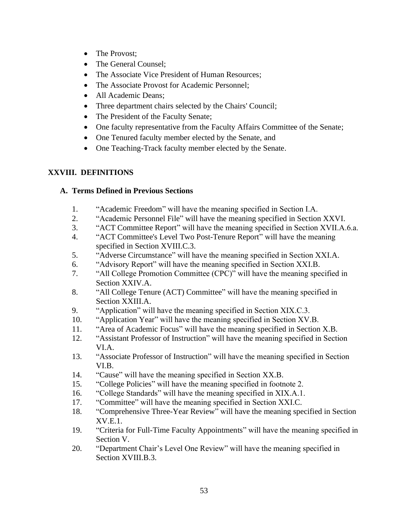- The Provost:
- The General Counsel:
- The Associate Vice President of Human Resources:
- The Associate Provost for Academic Personnel:
- All Academic Deans;
- Three department chairs selected by the Chairs' Council;
- The President of the Faculty Senate;
- One faculty representative from the Faculty Affairs Committee of the Senate;
- One Tenured faculty member elected by the Senate, and
- One Teaching-Track faculty member elected by the Senate.

# <span id="page-60-0"></span>**XXVIII. DEFINITIONS**

# <span id="page-60-1"></span>**A. Terms Defined in Previous Sections**

- 1. "Academic Freedom" will have the meaning specified in Section I.A.
- 2. "Academic Personnel File" will have the meaning specified in Section XXVI.
- 3. "ACT Committee Report" will have the meaning specified in Section XVII.A.6.a.
- 4. "ACT Committee's Level Two Post-Tenure Report" will have the meaning specified in Section XVIII.C.3.
- 5. "Adverse Circumstance" will have the meaning specified in Section XXI.A.
- 6. "Advisory Report" will have the meaning specified in Section XXI.B.
- 7. "All College Promotion Committee (CPC)" will have the meaning specified in Section XXIV.A.
- 8. "All College Tenure (ACT) Committee" will have the meaning specified in Section XXIII.A.
- 9. "Application" will have the meaning specified in Section XIX.C.3.
- 10. "Application Year" will have the meaning specified in Section XV.B.
- 11. "Area of Academic Focus" will have the meaning specified in Section X.B.
- 12. "Assistant Professor of Instruction" will have the meaning specified in Section VI.A.
- 13. "Associate Professor of Instruction" will have the meaning specified in Section VI.B.
- 14. "Cause" will have the meaning specified in Section XX.B.
- 15. "College Policies" will have the meaning specified in footnote 2.
- 16. "College Standards" will have the meaning specified in XIX.A.1.
- 17. "Committee" will have the meaning specified in Section XXI.C.
- 18. "Comprehensive Three-Year Review" will have the meaning specified in Section XV.E.1.
- 19. "Criteria for Full-Time Faculty Appointments" will have the meaning specified in Section V.
- 20. "Department Chair's Level One Review" will have the meaning specified in Section XVIII.B.3.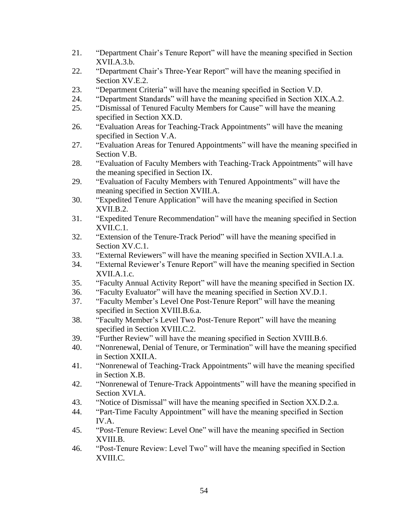- 21. "Department Chair's Tenure Report" will have the meaning specified in Section XVII.A.3.b.
- 22. "Department Chair's Three-Year Report" will have the meaning specified in Section XV.E.2.
- 23. "Department Criteria" will have the meaning specified in Section V.D.
- 24. "Department Standards" will have the meaning specified in Section XIX.A.2.
- 25. "Dismissal of Tenured Faculty Members for Cause" will have the meaning specified in Section XX.D.
- 26. "Evaluation Areas for Teaching-Track Appointments" will have the meaning specified in Section V.A.
- 27. "Evaluation Areas for Tenured Appointments" will have the meaning specified in Section V.B.
- 28. "Evaluation of Faculty Members with Teaching-Track Appointments" will have the meaning specified in Section IX.
- 29. "Evaluation of Faculty Members with Tenured Appointments" will have the meaning specified in Section XVIII.A.
- 30. "Expedited Tenure Application" will have the meaning specified in Section XVII.B.2.
- 31. "Expedited Tenure Recommendation" will have the meaning specified in Section XVII.C.1.
- 32. "Extension of the Tenure-Track Period" will have the meaning specified in Section XV.C.1.
- 33. "External Reviewers" will have the meaning specified in Section XVII.A.1.a.
- 34. "External Reviewer's Tenure Report" will have the meaning specified in Section XVII.A.1.c.
- 35. "Faculty Annual Activity Report" will have the meaning specified in Section IX.
- 36. "Faculty Evaluator" will have the meaning specified in Section XV.D.1.
- 37. "Faculty Member's Level One Post-Tenure Report" will have the meaning specified in Section XVIII.B.6.a.
- 38. "Faculty Member's Level Two Post-Tenure Report" will have the meaning specified in Section XVIII.C.2.
- 39. "Further Review" will have the meaning specified in Section XVIII.B.6.
- 40. "Nonrenewal, Denial of Tenure, or Termination" will have the meaning specified in Section XXII.A.
- 41. "Nonrenewal of Teaching-Track Appointments" will have the meaning specified in Section X.B.
- 42. "Nonrenewal of Tenure-Track Appointments" will have the meaning specified in Section XVI.A.
- 43. "Notice of Dismissal" will have the meaning specified in Section XX.D.2.a.
- 44. "Part-Time Faculty Appointment" will have the meaning specified in Section IV.A.
- 45. "Post-Tenure Review: Level One" will have the meaning specified in Section XVIII.B.
- 46. "Post-Tenure Review: Level Two" will have the meaning specified in Section XVIII.C.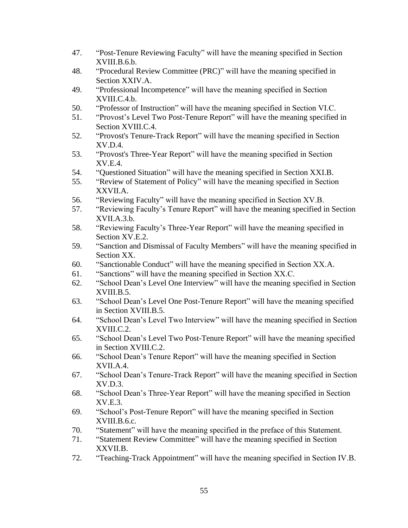- 47. "Post-Tenure Reviewing Faculty" will have the meaning specified in Section XVIII.B.6.b.
- 48. "Procedural Review Committee (PRC)" will have the meaning specified in Section XXIV.A.
- 49. "Professional Incompetence" will have the meaning specified in Section XVIII.C.4.b.
- 50. "Professor of Instruction" will have the meaning specified in Section VI.C.
- 51. "Provost's Level Two Post-Tenure Report" will have the meaning specified in Section XVIII.C.4.
- 52. "Provost's Tenure-Track Report" will have the meaning specified in Section XV.D.4.
- 53. "Provost's Three-Year Report" will have the meaning specified in Section XV.E.4.
- 54. "Questioned Situation" will have the meaning specified in Section XXI.B.
- 55. "Review of Statement of Policy" will have the meaning specified in Section XXVII.A.
- 56. "Reviewing Faculty" will have the meaning specified in Section XV.B.
- 57. "Reviewing Faculty's Tenure Report" will have the meaning specified in Section XVII.A.3.b.
- 58. "Reviewing Faculty's Three-Year Report" will have the meaning specified in Section XV.E.2.
- 59. "Sanction and Dismissal of Faculty Members" will have the meaning specified in Section XX.
- 60. "Sanctionable Conduct" will have the meaning specified in Section XX.A.
- 61. "Sanctions" will have the meaning specified in Section XX.C.
- 62. "School Dean's Level One Interview" will have the meaning specified in Section XVIII.B.5.
- 63. "School Dean's Level One Post-Tenure Report" will have the meaning specified in Section XVIII.B.5.
- 64. "School Dean's Level Two Interview" will have the meaning specified in Section XVIII.C.2.
- 65. "School Dean's Level Two Post-Tenure Report" will have the meaning specified in Section XVIII.C.2.
- 66. "School Dean's Tenure Report" will have the meaning specified in Section XVII.A.4.
- 67. "School Dean's Tenure-Track Report" will have the meaning specified in Section XV.D.3.
- 68. "School Dean's Three-Year Report" will have the meaning specified in Section XV.E.3.
- 69. "School's Post-Tenure Report" will have the meaning specified in Section XVIII.B.6.c.
- 70. "Statement" will have the meaning specified in the preface of this Statement.
- 71. "Statement Review Committee" will have the meaning specified in Section XXVII.B.
- 72. "Teaching-Track Appointment" will have the meaning specified in Section IV.B.